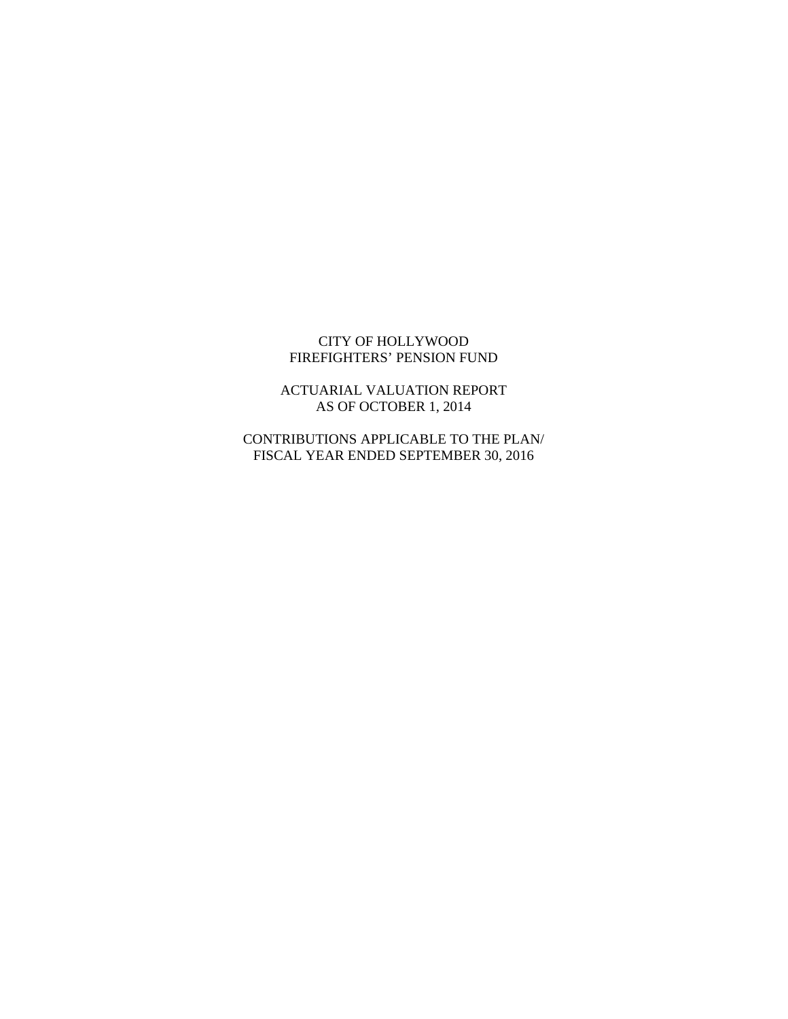#### CITY OF HOLLYWOOD FIREFIGHTERS' PENSION FUND

ACTUARIAL VALUATION REPORT AS OF OCTOBER 1, 2014

CONTRIBUTIONS APPLICABLE TO THE PLAN/ FISCAL YEAR ENDED SEPTEMBER 30, 2016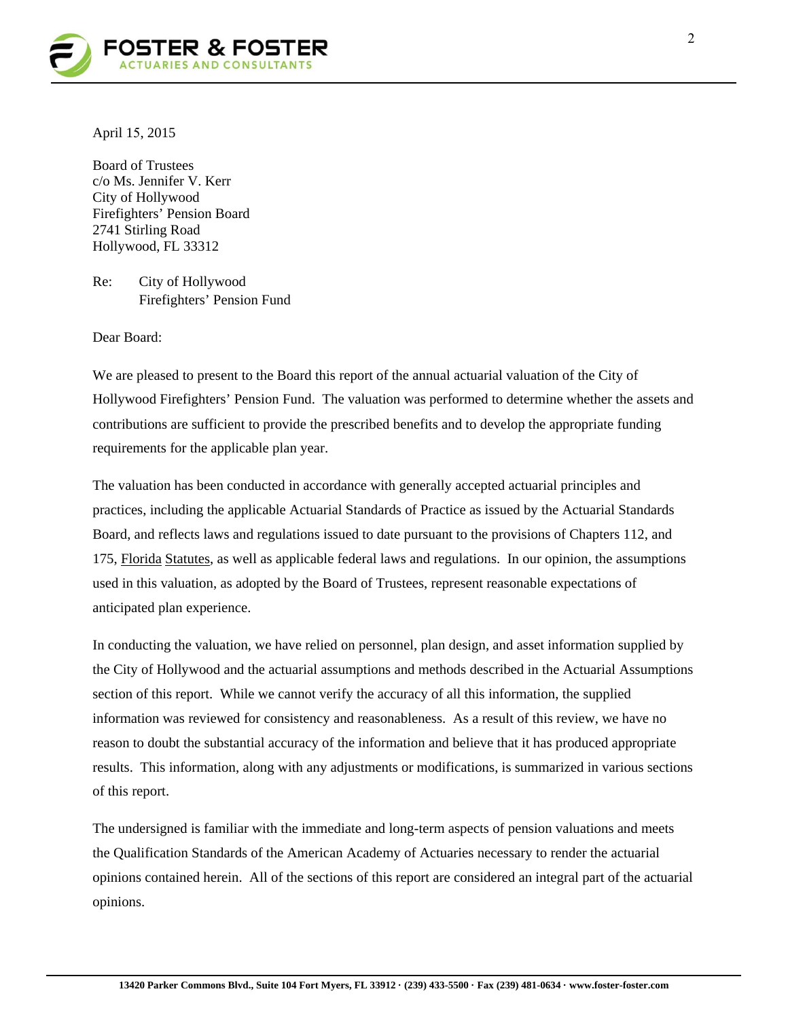

April 15, 2015

Board of Trustees c/o Ms. Jennifer V. Kerr City of Hollywood Firefighters' Pension Board 2741 Stirling Road Hollywood, FL 33312

Re: City of Hollywood Firefighters' Pension Fund

Dear Board:

We are pleased to present to the Board this report of the annual actuarial valuation of the City of Hollywood Firefighters' Pension Fund. The valuation was performed to determine whether the assets and contributions are sufficient to provide the prescribed benefits and to develop the appropriate funding requirements for the applicable plan year.

The valuation has been conducted in accordance with generally accepted actuarial principles and practices, including the applicable Actuarial Standards of Practice as issued by the Actuarial Standards Board, and reflects laws and regulations issued to date pursuant to the provisions of Chapters 112, and 175, Florida Statutes, as well as applicable federal laws and regulations. In our opinion, the assumptions used in this valuation, as adopted by the Board of Trustees, represent reasonable expectations of anticipated plan experience.

In conducting the valuation, we have relied on personnel, plan design, and asset information supplied by the City of Hollywood and the actuarial assumptions and methods described in the Actuarial Assumptions section of this report. While we cannot verify the accuracy of all this information, the supplied information was reviewed for consistency and reasonableness. As a result of this review, we have no reason to doubt the substantial accuracy of the information and believe that it has produced appropriate results. This information, along with any adjustments or modifications, is summarized in various sections of this report.

The undersigned is familiar with the immediate and long-term aspects of pension valuations and meets the Qualification Standards of the American Academy of Actuaries necessary to render the actuarial opinions contained herein. All of the sections of this report are considered an integral part of the actuarial opinions.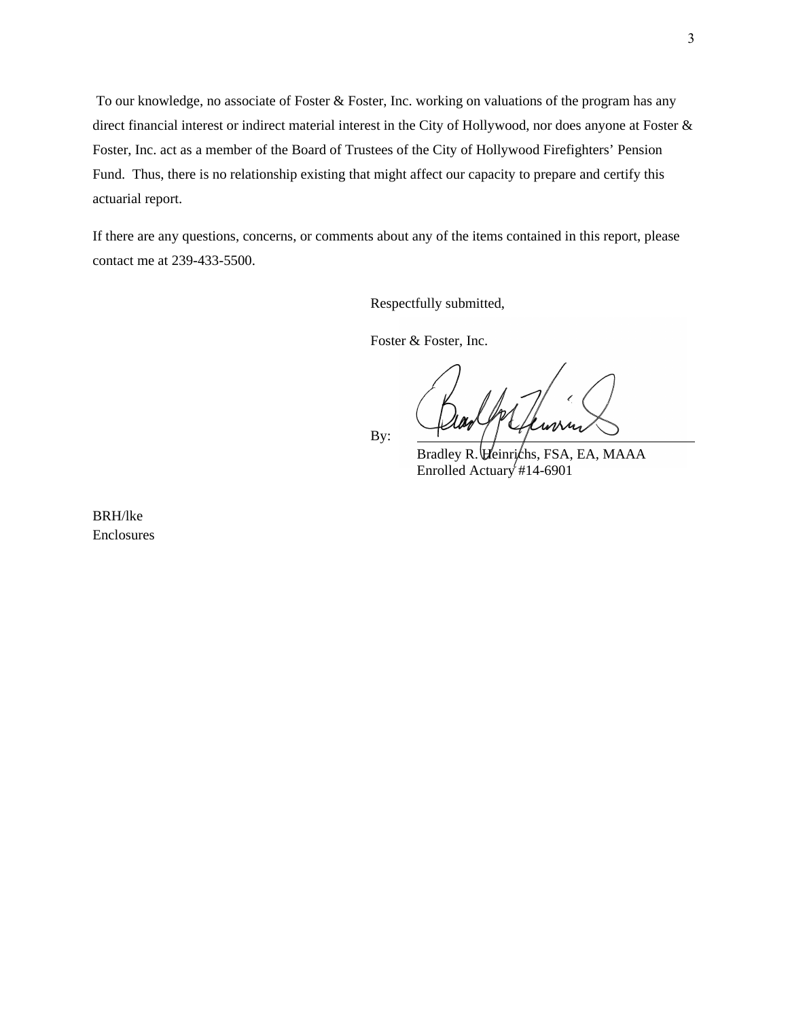To our knowledge, no associate of Foster & Foster, Inc. working on valuations of the program has any direct financial interest or indirect material interest in the City of Hollywood, nor does anyone at Foster & Foster, Inc. act as a member of the Board of Trustees of the City of Hollywood Firefighters' Pension Fund. Thus, there is no relationship existing that might affect our capacity to prepare and certify this actuarial report.

If there are any questions, concerns, or comments about any of the items contained in this report, please contact me at 239-433-5500.

Respectfully submitted,

Foster & Foster, Inc.

By:

Bradley R. *Heinrichs*, FSA, EA, MAAA Enrolled Actuary #14-6901

BRH/lke Enclosures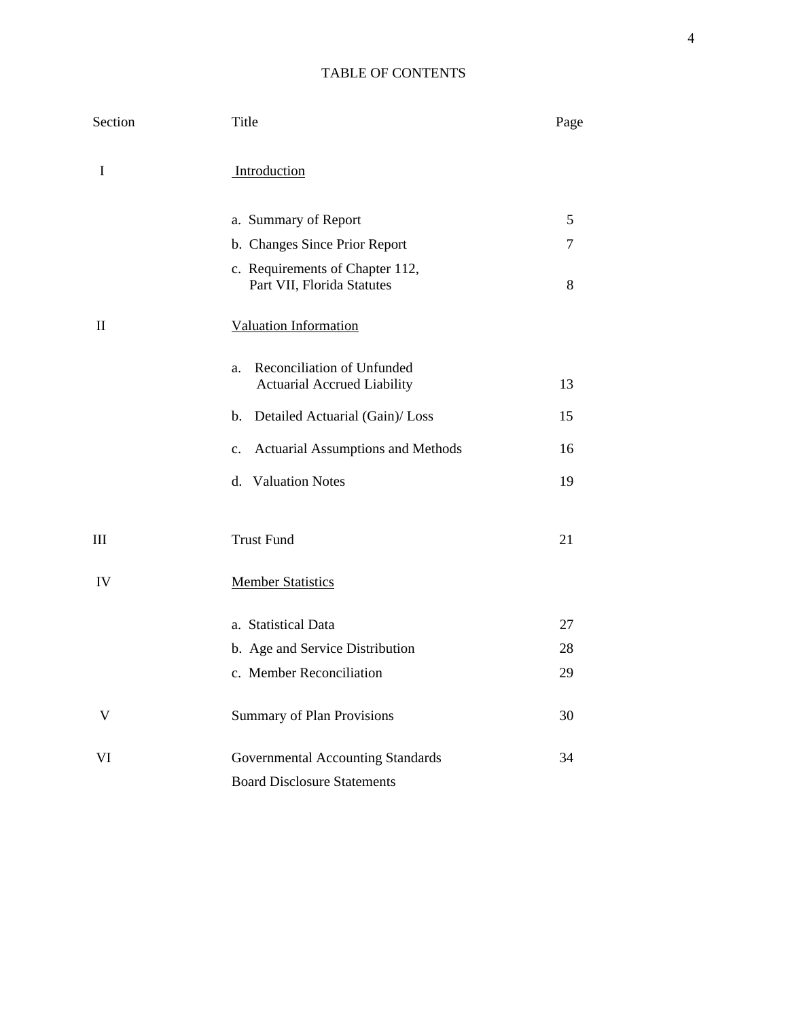## TABLE OF CONTENTS

| Section                         | Title                                                                  | Page |
|---------------------------------|------------------------------------------------------------------------|------|
| I                               | Introduction                                                           |      |
|                                 | a. Summary of Report                                                   | 5    |
|                                 | b. Changes Since Prior Report                                          | 7    |
|                                 | c. Requirements of Chapter 112,<br>Part VII, Florida Statutes          | 8    |
| $\mathop{\mathrm{II}}\nolimits$ | <b>Valuation Information</b>                                           |      |
|                                 | Reconciliation of Unfunded<br>a.<br><b>Actuarial Accrued Liability</b> | 13   |
|                                 | Detailed Actuarial (Gain)/ Loss<br>b.                                  | 15   |
|                                 | Actuarial Assumptions and Methods<br>c.                                | 16   |
|                                 | d. Valuation Notes                                                     | 19   |
| Ш                               | <b>Trust Fund</b>                                                      | 21   |
| IV                              | <b>Member Statistics</b>                                               |      |
|                                 | a. Statistical Data                                                    | 27   |
|                                 | b. Age and Service Distribution                                        | 28   |
|                                 | c. Member Reconciliation                                               | 29   |
| V                               | <b>Summary of Plan Provisions</b>                                      | 30   |
| VI                              | Governmental Accounting Standards                                      | 34   |
|                                 | <b>Board Disclosure Statements</b>                                     |      |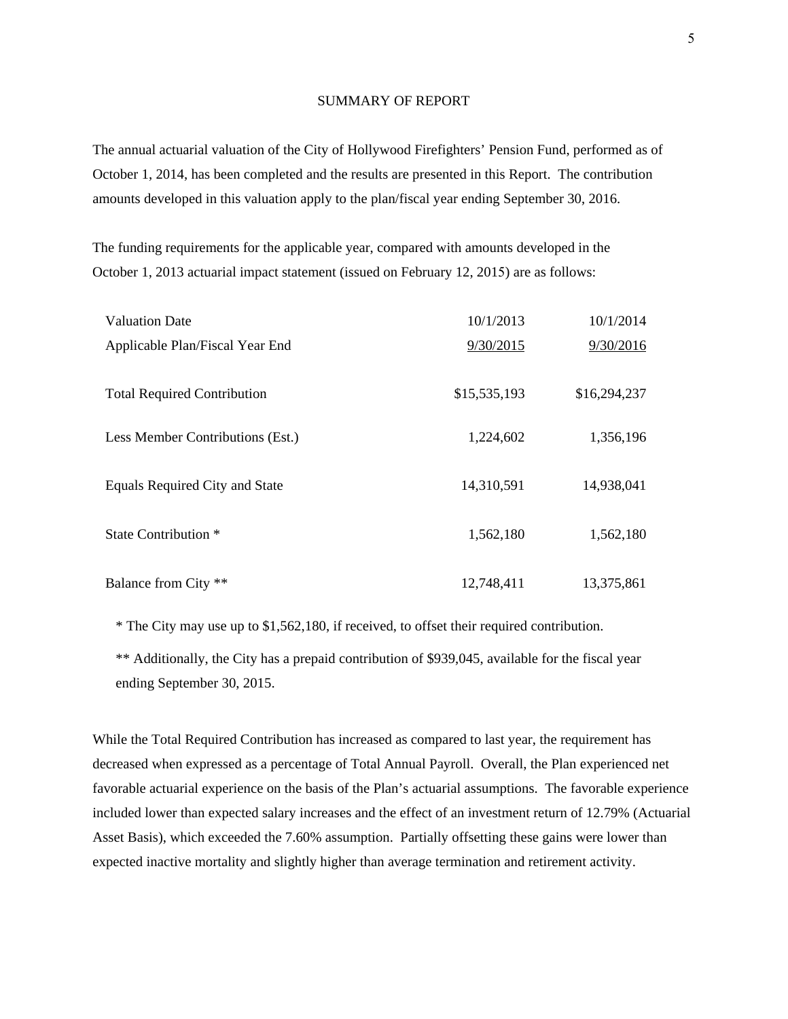#### SUMMARY OF REPORT

The annual actuarial valuation of the City of Hollywood Firefighters' Pension Fund, performed as of October 1, 2014, has been completed and the results are presented in this Report. The contribution amounts developed in this valuation apply to the plan/fiscal year ending September 30, 2016.

The funding requirements for the applicable year, compared with amounts developed in the October 1, 2013 actuarial impact statement (issued on February 12, 2015) are as follows:

| <b>Valuation Date</b>              | 10/1/2013    | 10/1/2014    |
|------------------------------------|--------------|--------------|
| Applicable Plan/Fiscal Year End    | 9/30/2015    | 9/30/2016    |
| <b>Total Required Contribution</b> | \$15,535,193 | \$16,294,237 |
| Less Member Contributions (Est.)   | 1,224,602    | 1,356,196    |
| Equals Required City and State     | 14,310,591   | 14,938,041   |
| State Contribution <sup>*</sup>    | 1,562,180    | 1,562,180    |
| Balance from City **               | 12,748,411   | 13,375,861   |

\* The City may use up to \$1,562,180, if received, to offset their required contribution.

\*\* Additionally, the City has a prepaid contribution of \$939,045, available for the fiscal year ending September 30, 2015.

While the Total Required Contribution has increased as compared to last year, the requirement has decreased when expressed as a percentage of Total Annual Payroll. Overall, the Plan experienced net favorable actuarial experience on the basis of the Plan's actuarial assumptions. The favorable experience included lower than expected salary increases and the effect of an investment return of 12.79% (Actuarial Asset Basis), which exceeded the 7.60% assumption. Partially offsetting these gains were lower than expected inactive mortality and slightly higher than average termination and retirement activity.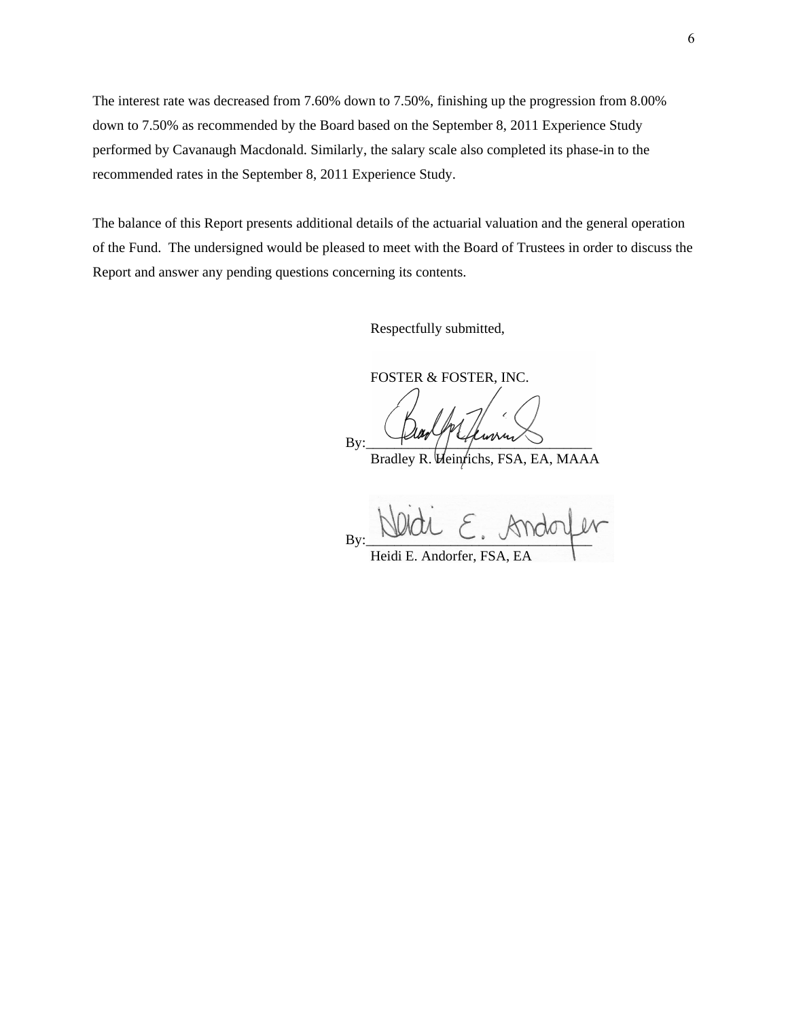The interest rate was decreased from 7.60% down to 7.50%, finishing up the progression from 8.00% down to 7.50% as recommended by the Board based on the September 8, 2011 Experience Study performed by Cavanaugh Macdonald. Similarly, the salary scale also completed its phase-in to the recommended rates in the September 8, 2011 Experience Study.

The balance of this Report presents additional details of the actuarial valuation and the general operation of the Fund. The undersigned would be pleased to meet with the Board of Trustees in order to discuss the Report and answer any pending questions concerning its contents.

Respectfully submitted,

FOSTER & FOSTER, INC.

 $By: \frac{1}{\sqrt{2\pi}}$ 

Bradley R. Veintichs, FSA, EA, MAAA

By:  $\frac{1}{2}$ Heidi E. Andorfer, FSA

6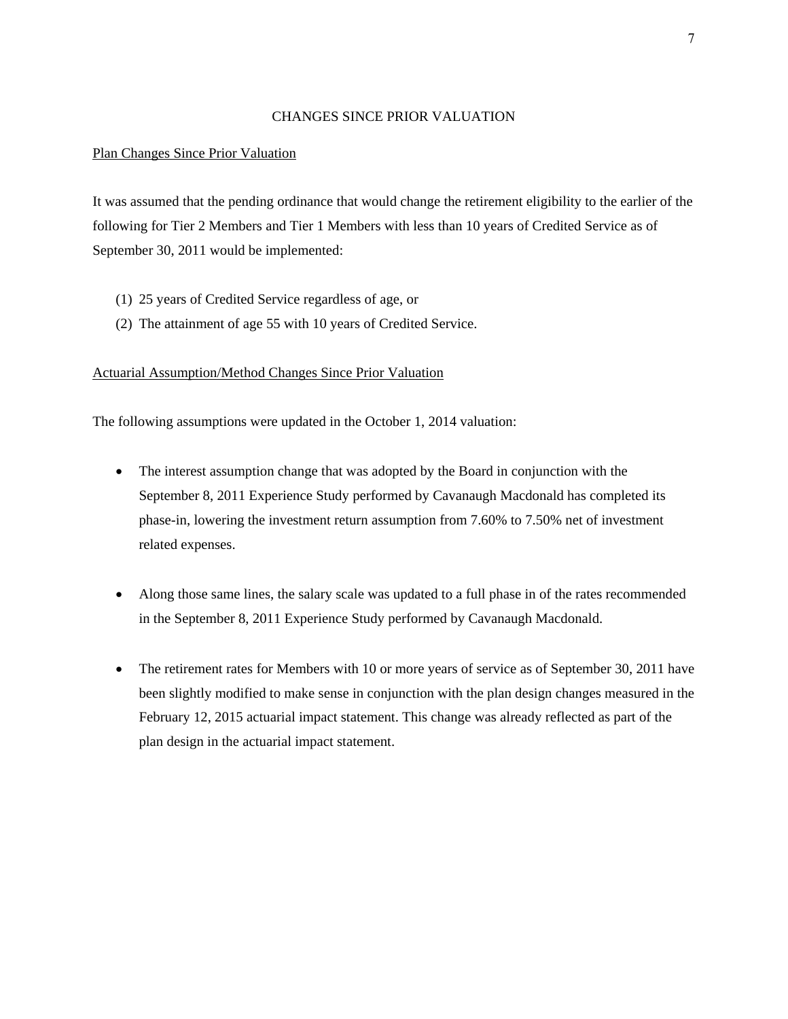#### CHANGES SINCE PRIOR VALUATION

#### Plan Changes Since Prior Valuation

It was assumed that the pending ordinance that would change the retirement eligibility to the earlier of the following for Tier 2 Members and Tier 1 Members with less than 10 years of Credited Service as of September 30, 2011 would be implemented:

- (1) 25 years of Credited Service regardless of age, or
- (2) The attainment of age 55 with 10 years of Credited Service.

#### Actuarial Assumption/Method Changes Since Prior Valuation

The following assumptions were updated in the October 1, 2014 valuation:

- The interest assumption change that was adopted by the Board in conjunction with the September 8, 2011 Experience Study performed by Cavanaugh Macdonald has completed its phase-in, lowering the investment return assumption from 7.60% to 7.50% net of investment related expenses.
- Along those same lines, the salary scale was updated to a full phase in of the rates recommended in the September 8, 2011 Experience Study performed by Cavanaugh Macdonald.
- The retirement rates for Members with 10 or more years of service as of September 30, 2011 have been slightly modified to make sense in conjunction with the plan design changes measured in the February 12, 2015 actuarial impact statement. This change was already reflected as part of the plan design in the actuarial impact statement.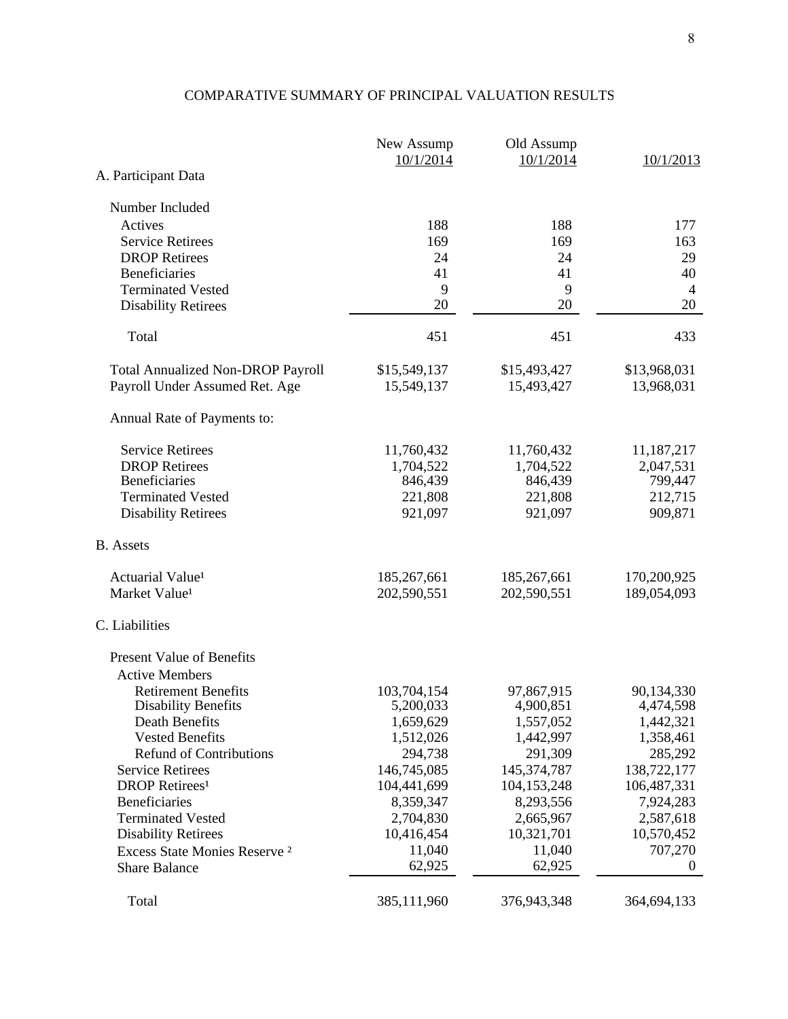# COMPARATIVE SUMMARY OF PRINCIPAL VALUATION RESULTS

|                                                    | New Assump<br>10/1/2014  | Old Assump<br>10/1/2014  | 10/1/2013                |
|----------------------------------------------------|--------------------------|--------------------------|--------------------------|
| A. Participant Data                                |                          |                          |                          |
| Number Included                                    |                          |                          |                          |
| Actives                                            | 188                      | 188                      | 177                      |
| <b>Service Retirees</b>                            | 169                      | 169                      | 163                      |
| <b>DROP</b> Retirees                               | 24                       | 24                       | 29                       |
| <b>Beneficiaries</b>                               | 41                       | 41                       | 40                       |
| <b>Terminated Vested</b>                           | 9                        | 9                        | $\overline{4}$           |
| <b>Disability Retirees</b>                         | 20                       | 20                       | 20                       |
| Total                                              | 451                      | 451                      | 433                      |
| <b>Total Annualized Non-DROP Payroll</b>           | \$15,549,137             | \$15,493,427             | \$13,968,031             |
| Payroll Under Assumed Ret. Age                     | 15,549,137               | 15,493,427               | 13,968,031               |
| Annual Rate of Payments to:                        |                          |                          |                          |
| <b>Service Retirees</b>                            | 11,760,432               | 11,760,432               | 11,187,217               |
| <b>DROP</b> Retirees                               | 1,704,522                | 1,704,522                | 2,047,531                |
| <b>Beneficiaries</b>                               | 846,439                  | 846,439                  | 799,447                  |
| <b>Terminated Vested</b>                           | 221,808                  | 221,808                  | 212,715                  |
| <b>Disability Retirees</b>                         | 921,097                  | 921,097                  | 909,871                  |
| <b>B.</b> Assets                                   |                          |                          |                          |
| Actuarial Value <sup>1</sup>                       | 185,267,661              | 185,267,661              | 170,200,925              |
| Market Value <sup>1</sup>                          | 202,590,551              | 202,590,551              | 189,054,093              |
| C. Liabilities                                     |                          |                          |                          |
| <b>Present Value of Benefits</b>                   |                          |                          |                          |
| <b>Active Members</b>                              |                          |                          |                          |
| <b>Retirement Benefits</b>                         | 103,704,154              | 97,867,915               | 90,134,330               |
| <b>Disability Benefits</b>                         | 5,200,033                | 4,900,851                | 4,474,598                |
| Death Benefits                                     | 1,659,629                | 1,557,052                | 1,442,321                |
| <b>Vested Benefits</b>                             | 1,512,026                | 1,442,997                | 1,358,461                |
| <b>Refund of Contributions</b>                     | 294,738                  | 291,309                  | 285,292                  |
| <b>Service Retirees</b>                            | 146,745,085              | 145,374,787              | 138,722,177              |
| <b>DROP</b> Retirees <sup>1</sup><br>Beneficiaries | 104,441,699<br>8,359,347 | 104,153,248<br>8,293,556 | 106,487,331<br>7,924,283 |
| <b>Terminated Vested</b>                           | 2,704,830                | 2,665,967                | 2,587,618                |
| <b>Disability Retirees</b>                         | 10,416,454               | 10,321,701               | 10,570,452               |
| Excess State Monies Reserve <sup>2</sup>           | 11,040                   | 11,040                   | 707,270                  |
| <b>Share Balance</b>                               | 62,925                   | 62,925                   | $\overline{0}$           |
| Total                                              | 385,111,960              | 376,943,348              | 364,694,133              |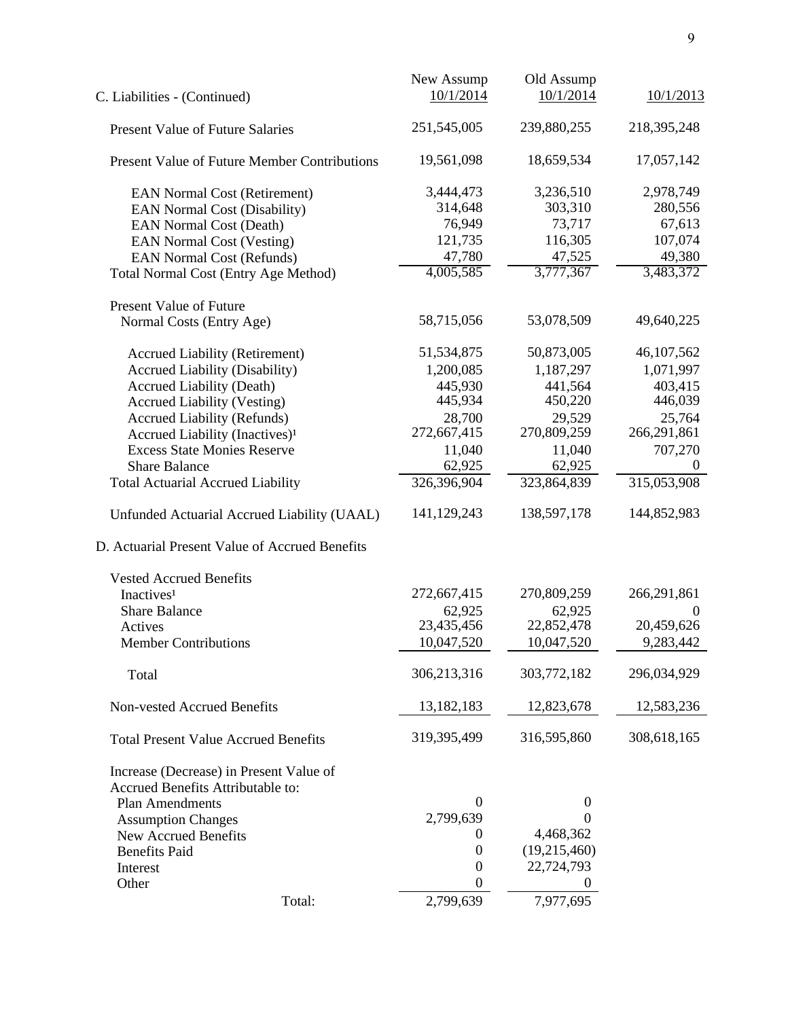|                                                     | New Assump       | Old Assump       |                  |
|-----------------------------------------------------|------------------|------------------|------------------|
| C. Liabilities - (Continued)                        | 10/1/2014        | 10/1/2014        | 10/1/2013        |
| <b>Present Value of Future Salaries</b>             | 251,545,005      | 239,880,255      | 218, 395, 248    |
| <b>Present Value of Future Member Contributions</b> | 19,561,098       | 18,659,534       | 17,057,142       |
| <b>EAN Normal Cost (Retirement)</b>                 | 3,444,473        | 3,236,510        | 2,978,749        |
| <b>EAN Normal Cost (Disability)</b>                 | 314,648          | 303,310          | 280,556          |
| <b>EAN Normal Cost (Death)</b>                      | 76,949           | 73,717           | 67,613           |
| <b>EAN Normal Cost (Vesting)</b>                    | 121,735          | 116,305          | 107,074          |
| <b>EAN Normal Cost (Refunds)</b>                    | 47,780           | 47,525           | 49,380           |
| <b>Total Normal Cost (Entry Age Method)</b>         | 4,005,585        | 3,777,367        | 3,483,372        |
| <b>Present Value of Future</b>                      |                  |                  |                  |
| Normal Costs (Entry Age)                            | 58,715,056       | 53,078,509       | 49,640,225       |
| <b>Accrued Liability (Retirement)</b>               | 51,534,875       | 50,873,005       | 46,107,562       |
| <b>Accrued Liability (Disability)</b>               | 1,200,085        | 1,187,297        | 1,071,997        |
| <b>Accrued Liability (Death)</b>                    | 445,930          | 441,564          | 403,415          |
| <b>Accrued Liability (Vesting)</b>                  | 445,934          | 450,220          | 446,039          |
| <b>Accrued Liability (Refunds)</b>                  | 28,700           | 29,529           | 25,764           |
| Accrued Liability (Inactives) <sup>1</sup>          | 272,667,415      | 270,809,259      | 266,291,861      |
| <b>Excess State Monies Reserve</b>                  | 11,040           | 11,040           | 707,270          |
| <b>Share Balance</b>                                | 62,925           | 62,925           | $\Omega$         |
| <b>Total Actuarial Accrued Liability</b>            | 326,396,904      | 323,864,839      | 315,053,908      |
| Unfunded Actuarial Accrued Liability (UAAL)         | 141,129,243      | 138,597,178      | 144,852,983      |
| D. Actuarial Present Value of Accrued Benefits      |                  |                  |                  |
| <b>Vested Accrued Benefits</b>                      |                  |                  |                  |
| Inactives <sup>1</sup>                              | 272,667,415      | 270,809,259      | 266,291,861      |
| <b>Share Balance</b>                                | 62,925           | 62,925           | $\boldsymbol{0}$ |
| Actives                                             | 23,435,456       | 22,852,478       | 20,459,626       |
| <b>Member Contributions</b>                         | 10,047,520       | 10,047,520       | 9,283,442        |
| Total                                               | 306,213,316      | 303,772,182      | 296,034,929      |
| Non-vested Accrued Benefits                         | 13, 182, 183     | 12,823,678       | 12,583,236       |
| <b>Total Present Value Accrued Benefits</b>         | 319,395,499      | 316,595,860      | 308,618,165      |
| Increase (Decrease) in Present Value of             |                  |                  |                  |
| Accrued Benefits Attributable to:                   |                  |                  |                  |
| <b>Plan Amendments</b>                              | $\Omega$         | $\boldsymbol{0}$ |                  |
| <b>Assumption Changes</b>                           | 2,799,639        | 0                |                  |
| <b>New Accrued Benefits</b>                         | 0                | 4,468,362        |                  |
| <b>Benefits Paid</b>                                | $\boldsymbol{0}$ | (19,215,460)     |                  |
| Interest                                            | $\boldsymbol{0}$ | 22,724,793       |                  |
| Other                                               | $\boldsymbol{0}$ |                  |                  |
| Total:                                              | 2,799,639        | 7,977,695        |                  |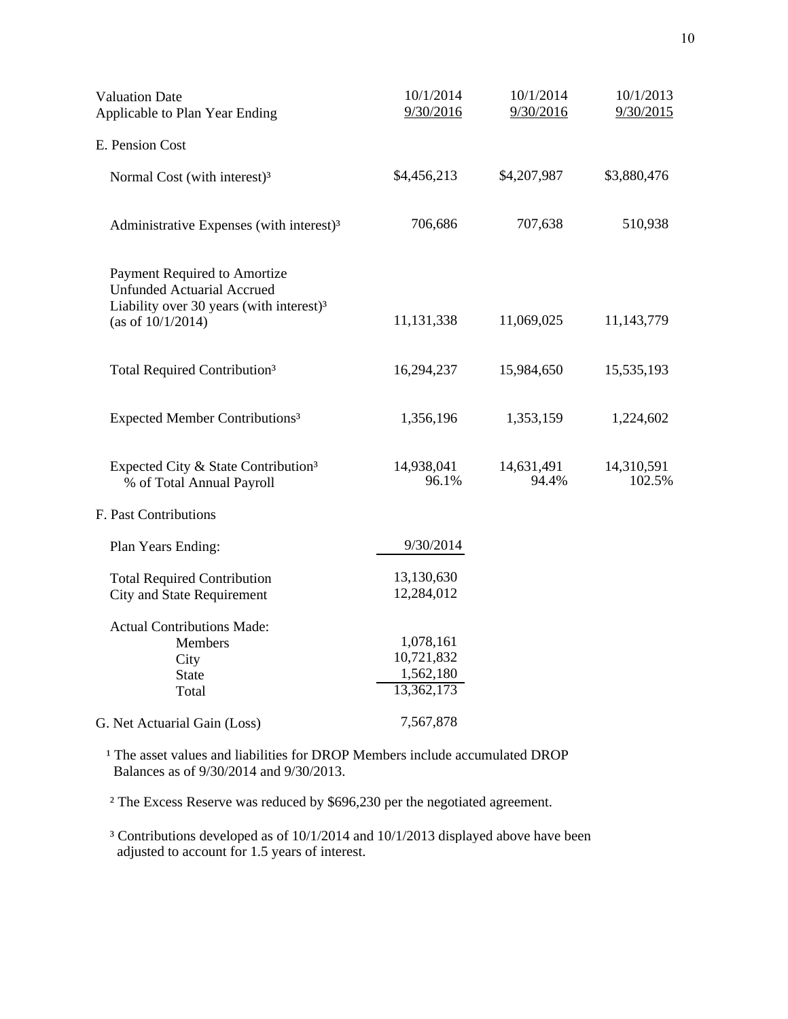| <b>Valuation Date</b><br>Applicable to Plan Year Ending                                                                                           | 10/1/2014<br>9/30/2016                             | 10/1/2014<br>9/30/2016 | 10/1/2013<br>9/30/2015 |  |
|---------------------------------------------------------------------------------------------------------------------------------------------------|----------------------------------------------------|------------------------|------------------------|--|
| E. Pension Cost                                                                                                                                   |                                                    |                        |                        |  |
| Normal Cost (with interest) <sup>3</sup>                                                                                                          | \$4,456,213                                        | \$4,207,987            | \$3,880,476            |  |
| Administrative Expenses (with interest) <sup>3</sup>                                                                                              | 706,686                                            | 707,638                | 510,938                |  |
| Payment Required to Amortize<br><b>Unfunded Actuarial Accrued</b><br>Liability over 30 years (with interest) <sup>3</sup><br>(as of $10/1/2014$ ) | 11,131,338                                         | 11,069,025             | 11,143,779             |  |
| Total Required Contribution <sup>3</sup>                                                                                                          | 16,294,237                                         | 15,984,650             | 15,535,193             |  |
| Expected Member Contributions <sup>3</sup>                                                                                                        | 1,356,196                                          | 1,353,159              | 1,224,602              |  |
| Expected City & State Contribution <sup>3</sup><br>% of Total Annual Payroll                                                                      | 14,938,041<br>96.1%                                | 14,631,491<br>94.4%    | 14,310,591<br>102.5%   |  |
| F. Past Contributions                                                                                                                             |                                                    |                        |                        |  |
| Plan Years Ending:                                                                                                                                | 9/30/2014                                          |                        |                        |  |
| <b>Total Required Contribution</b><br><b>City and State Requirement</b>                                                                           | 13,130,630<br>12,284,012                           |                        |                        |  |
| <b>Actual Contributions Made:</b><br>Members<br>City<br><b>State</b><br>Total                                                                     | 1,078,161<br>10,721,832<br>1,562,180<br>13,362,173 |                        |                        |  |
| G. Net Actuarial Gain (Loss)                                                                                                                      | 7,567,878                                          |                        |                        |  |

<sup>1</sup> The asset values and liabilities for DROP Members include accumulated DROP Balances as of 9/30/2014 and 9/30/2013.

² The Excess Reserve was reduced by \$696,230 per the negotiated agreement.

 ³ Contributions developed as of 10/1/2014 and 10/1/2013 displayed above have been adjusted to account for 1.5 years of interest.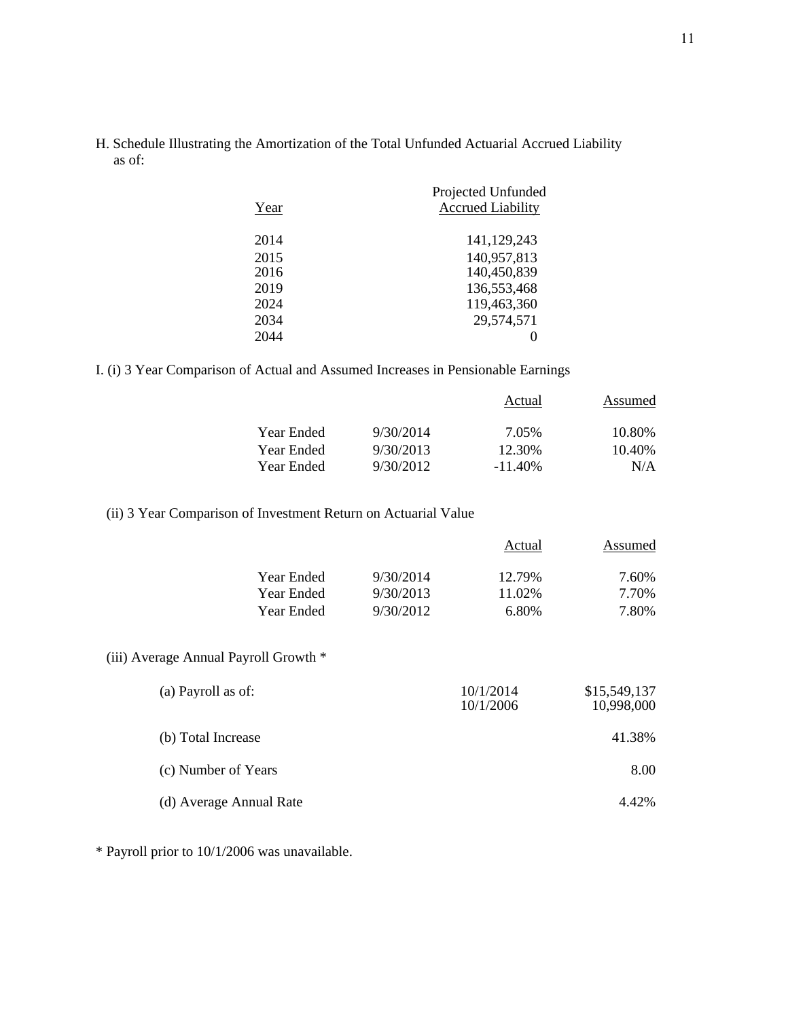H. Schedule Illustrating the Amortization of the Total Unfunded Actuarial Accrued Liability as of:

|      | Projected Unfunded       |
|------|--------------------------|
| Year | <b>Accrued Liability</b> |
| 2014 | 141,129,243              |
| 2015 | 140,957,813              |
| 2016 | 140,450,839              |
| 2019 | 136,553,468              |
| 2024 | 119,463,360              |
| 2034 | 29,574,571               |
| 2044 |                          |
|      |                          |

I. (i) 3 Year Comparison of Actual and Assumed Increases in Pensionable Earnings

|            |           | Actual     | Assumed |
|------------|-----------|------------|---------|
| Year Ended | 9/30/2014 | 7.05%      | 10.80%  |
| Year Ended | 9/30/2013 | 12.30%     | 10.40%  |
| Year Ended | 9/30/2012 | $-11.40\%$ | N/A     |

(ii) 3 Year Comparison of Investment Return on Actuarial Value

|            |           | Actual | Assumed |
|------------|-----------|--------|---------|
| Year Ended | 9/30/2014 | 12.79% | 7.60%   |
| Year Ended | 9/30/2013 | 11.02% | 7 70%   |
| Year Ended | 9/30/2012 | 6.80%  | 7.80%   |

## (iii) Average Annual Payroll Growth \*

| (a) Payroll as of:      | 10/1/2014<br>10/1/2006 | \$15,549,137<br>10,998,000 |
|-------------------------|------------------------|----------------------------|
| (b) Total Increase      |                        | 41.38%                     |
| (c) Number of Years     |                        | 8.00                       |
| (d) Average Annual Rate |                        | 4.42%                      |

\* Payroll prior to 10/1/2006 was unavailable.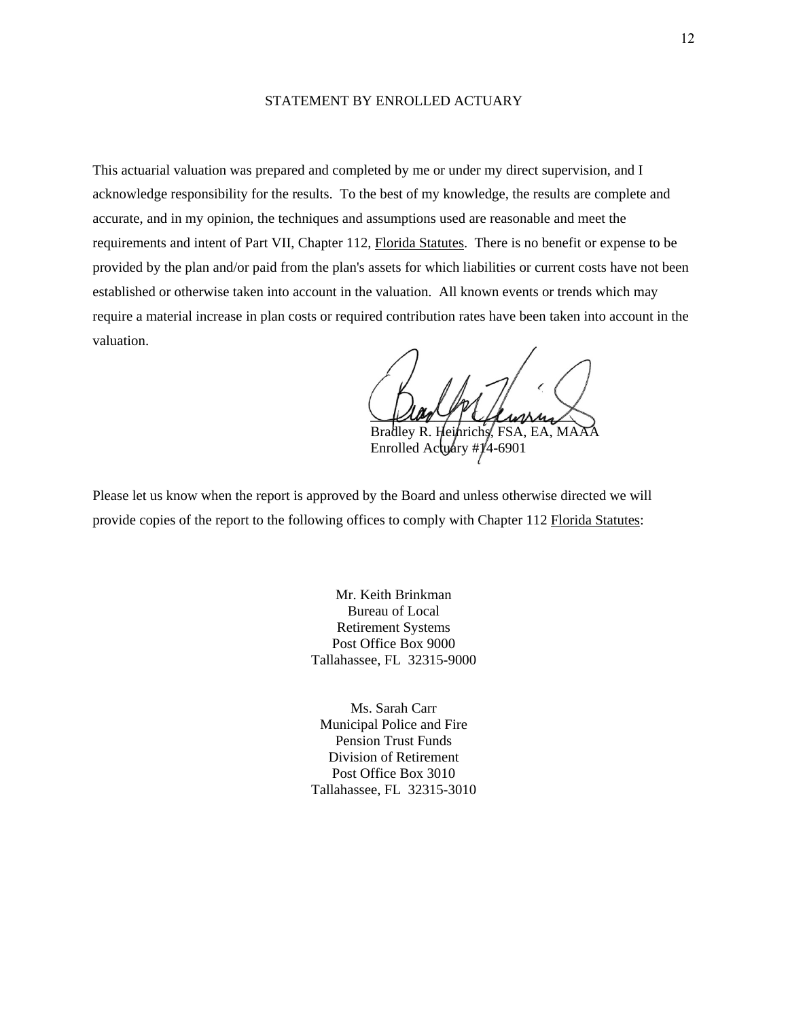#### STATEMENT BY ENROLLED ACTUARY

This actuarial valuation was prepared and completed by me or under my direct supervision, and I acknowledge responsibility for the results. To the best of my knowledge, the results are complete and accurate, and in my opinion, the techniques and assumptions used are reasonable and meet the requirements and intent of Part VII, Chapter 112, Florida Statutes. There is no benefit or expense to be provided by the plan and/or paid from the plan's assets for which liabilities or current costs have not been established or otherwise taken into account in the valuation. All known events or trends which may require a material increase in plan costs or required contribution rates have been taken into account in the valuation.

pulled the channel Bradley R. Heinrichs, FSA, EA, MA

Enrolled Actuary # $1/4$ -6901

Please let us know when the report is approved by the Board and unless otherwise directed we will provide copies of the report to the following offices to comply with Chapter 112 Florida Statutes:

> Mr. Keith Brinkman Bureau of Local Retirement Systems Post Office Box 9000 Tallahassee, FL 32315-9000

> Ms. Sarah Carr Municipal Police and Fire Pension Trust Funds Division of Retirement Post Office Box 3010 Tallahassee, FL 32315-3010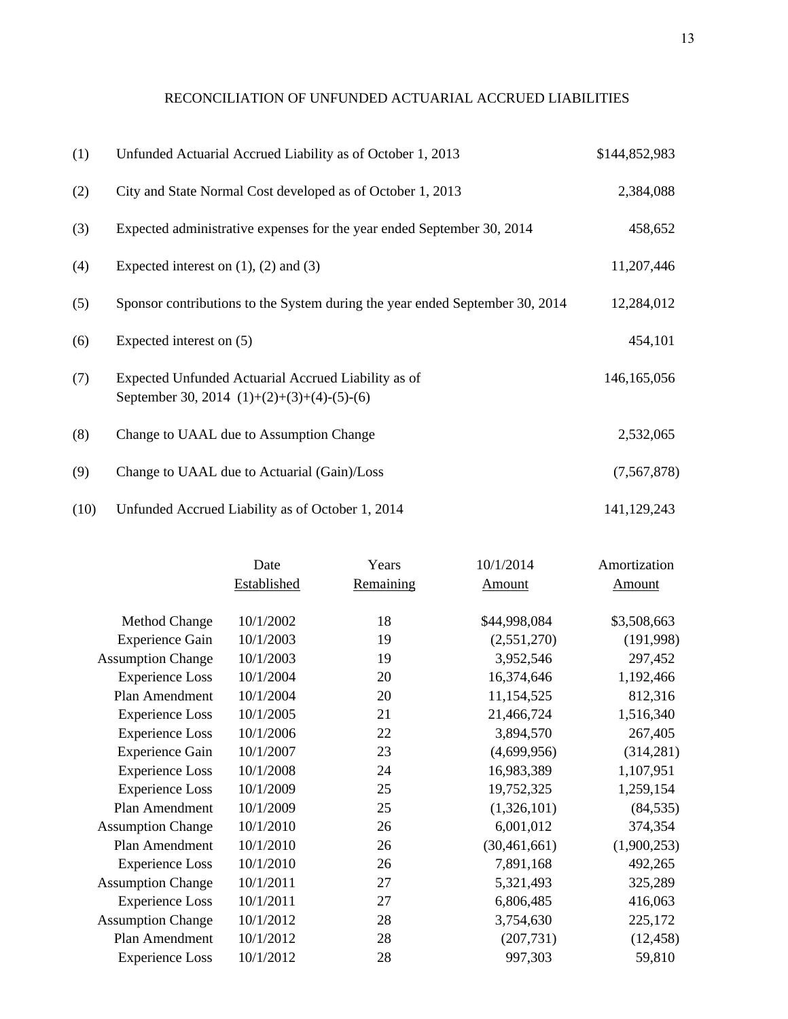# RECONCILIATION OF UNFUNDED ACTUARIAL ACCRUED LIABILITIES

| (1)  | Unfunded Actuarial Accrued Liability as of October 1, 2013                                          | \$144,852,983 |
|------|-----------------------------------------------------------------------------------------------------|---------------|
| (2)  | City and State Normal Cost developed as of October 1, 2013                                          | 2,384,088     |
| (3)  | Expected administrative expenses for the year ended September 30, 2014                              | 458,652       |
| (4)  | Expected interest on $(1)$ , $(2)$ and $(3)$                                                        | 11,207,446    |
| (5)  | Sponsor contributions to the System during the year ended September 30, 2014                        | 12,284,012    |
| (6)  | Expected interest on (5)                                                                            | 454,101       |
| (7)  | Expected Unfunded Actuarial Accrued Liability as of<br>September 30, 2014 $(1)+(2)+(3)+(4)-(5)-(6)$ | 146, 165, 056 |
| (8)  | Change to UAAL due to Assumption Change                                                             | 2,532,065     |
| (9)  | Change to UAAL due to Actuarial (Gain)/Loss                                                         | (7,567,878)   |
| (10) | Unfunded Accrued Liability as of October 1, 2014                                                    | 141,129,243   |

| Date        | Years     | 10/1/2014      | Amortization |
|-------------|-----------|----------------|--------------|
| Established | Remaining | Amount         | Amount       |
| 10/1/2002   | 18        | \$44,998,084   | \$3,508,663  |
| 10/1/2003   | 19        | (2,551,270)    | (191, 998)   |
| 10/1/2003   | 19        | 3,952,546      | 297,452      |
| 10/1/2004   | 20        | 16,374,646     | 1,192,466    |
| 10/1/2004   | 20        | 11,154,525     | 812,316      |
| 10/1/2005   | 21        | 21,466,724     | 1,516,340    |
| 10/1/2006   | 22        | 3,894,570      | 267,405      |
| 10/1/2007   | 23        | (4,699,956)    | (314, 281)   |
| 10/1/2008   | 24        | 16,983,389     | 1,107,951    |
| 10/1/2009   | 25        | 19,752,325     | 1,259,154    |
| 10/1/2009   | 25        | (1,326,101)    | (84, 535)    |
| 10/1/2010   | 26        | 6,001,012      | 374,354      |
| 10/1/2010   | 26        | (30, 461, 661) | (1,900,253)  |
| 10/1/2010   | 26        | 7,891,168      | 492,265      |
| 10/1/2011   | 27        | 5,321,493      | 325,289      |
| 10/1/2011   | 27        | 6,806,485      | 416,063      |
| 10/1/2012   | 28        | 3,754,630      | 225,172      |
| 10/1/2012   | 28        | (207, 731)     | (12, 458)    |
| 10/1/2012   | 28        | 997,303        | 59,810       |
|             |           |                |              |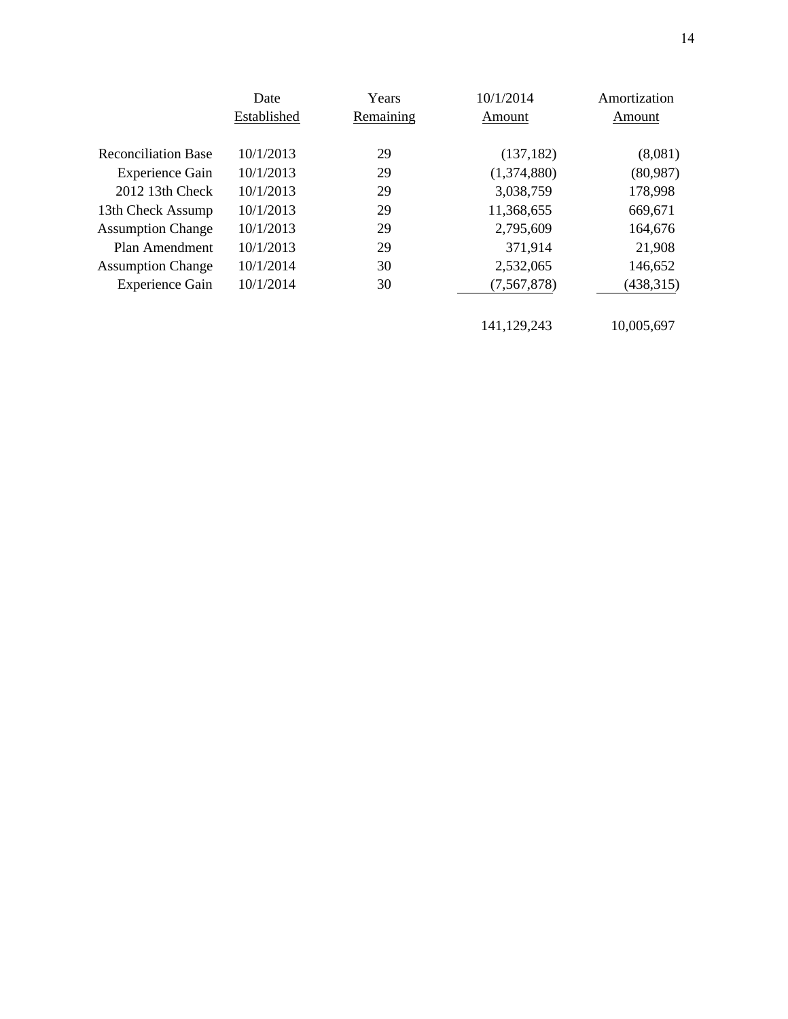|                            | Date        | Years     | 10/1/2014   | Amortization |
|----------------------------|-------------|-----------|-------------|--------------|
|                            | Established | Remaining | Amount      | Amount       |
|                            |             |           |             |              |
| <b>Reconciliation Base</b> | 10/1/2013   | 29        | (137, 182)  | (8,081)      |
| <b>Experience Gain</b>     | 10/1/2013   | 29        | (1,374,880) | (80,987)     |
| 2012 13th Check            | 10/1/2013   | 29        | 3,038,759   | 178,998      |
| 13th Check Assump          | 10/1/2013   | 29        | 11,368,655  | 669,671      |
| <b>Assumption Change</b>   | 10/1/2013   | 29        | 2,795,609   | 164,676      |
| Plan Amendment             | 10/1/2013   | 29        | 371,914     | 21,908       |
| <b>Assumption Change</b>   | 10/1/2014   | 30        | 2,532,065   | 146,652      |
| <b>Experience Gain</b>     | 10/1/2014   | 30        | (7,567,878) | (438, 315)   |
|                            |             |           |             |              |
|                            |             |           | 141,129,243 | 10,005,697   |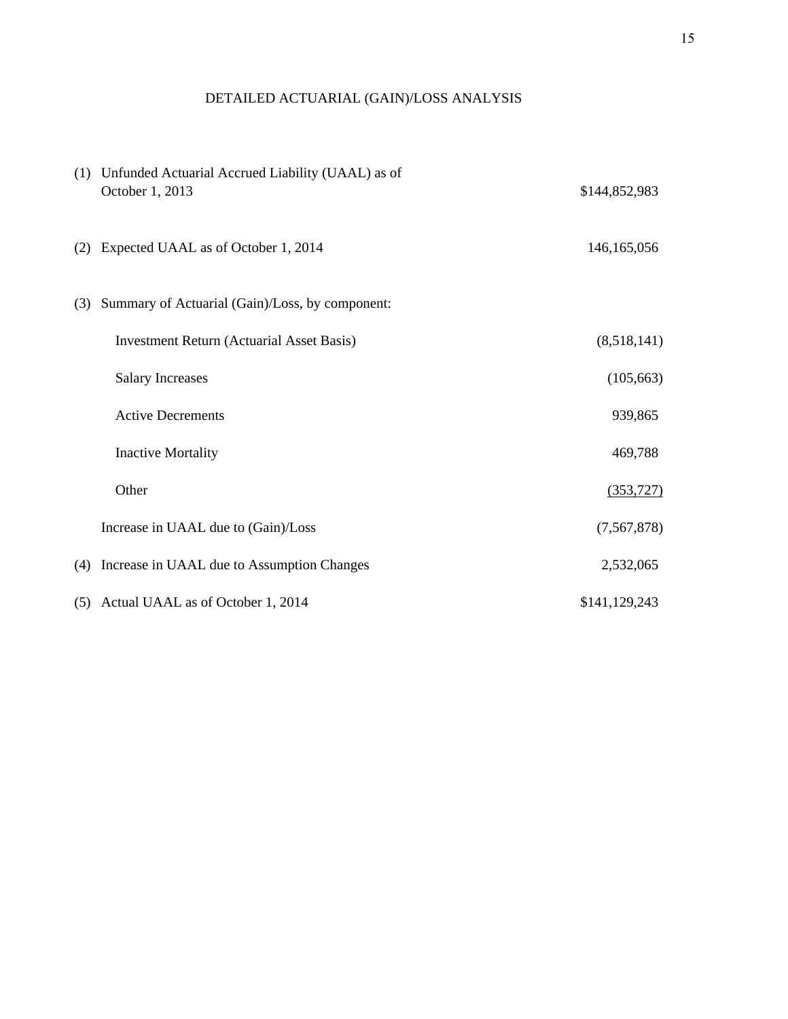# DETAILED ACTUARIAL (GAIN)/LOSS ANALYSIS

|     | (1) Unfunded Actuarial Accrued Liability (UAAL) as of<br>October 1, 2013 | \$144,852,983 |
|-----|--------------------------------------------------------------------------|---------------|
| (2) | Expected UAAL as of October 1, 2014                                      | 146, 165, 056 |
| (3) | Summary of Actuarial (Gain)/Loss, by component:                          |               |
|     | <b>Investment Return (Actuarial Asset Basis)</b>                         | (8,518,141)   |
|     | <b>Salary Increases</b>                                                  | (105, 663)    |
|     | <b>Active Decrements</b>                                                 | 939,865       |
|     | <b>Inactive Mortality</b>                                                | 469,788       |
|     | Other                                                                    | (353, 727)    |
|     | Increase in UAAL due to (Gain)/Loss                                      | (7, 567, 878) |
| (4) | Increase in UAAL due to Assumption Changes                               | 2,532,065     |
|     | (5) Actual UAAL as of October 1, 2014                                    | \$141,129,243 |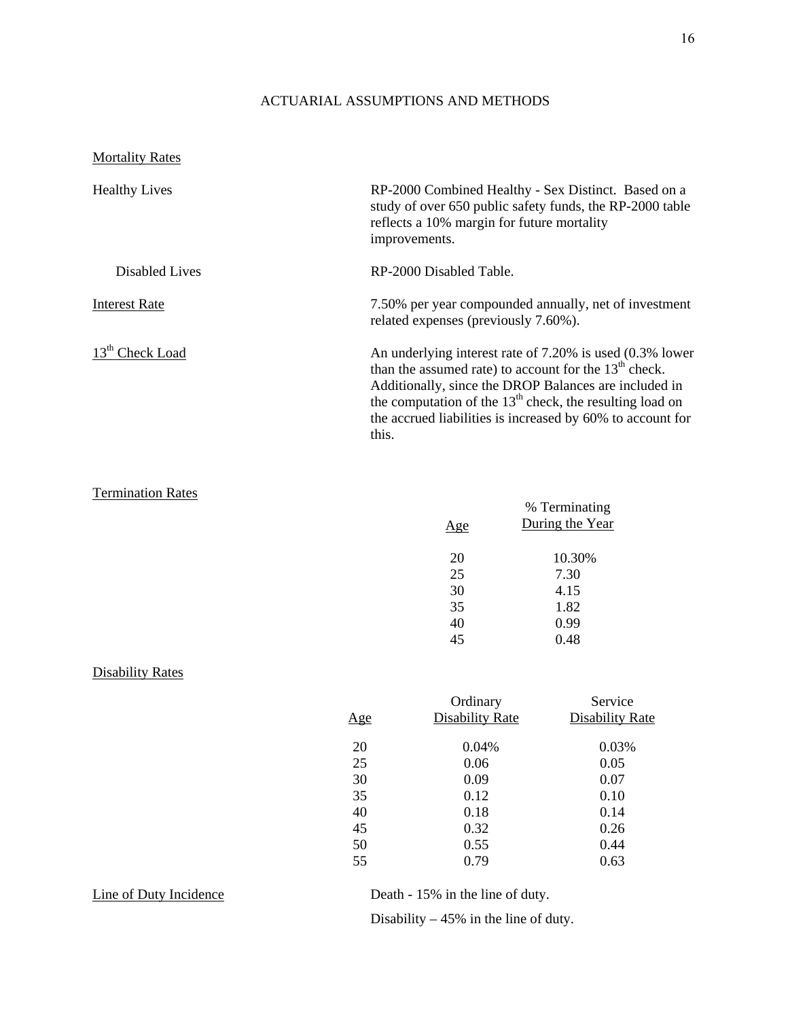## ACTUARIAL ASSUMPTIONS AND METHODS

## **Mortality Rates**

| <b>Healthy Lives</b>        | RP-2000 Combined Healthy - Sex Distinct. Based on a<br>study of over 650 public safety funds, the RP-2000 table<br>reflects a 10% margin for future mortality<br>improvements.                                                                                                                                    |
|-----------------------------|-------------------------------------------------------------------------------------------------------------------------------------------------------------------------------------------------------------------------------------------------------------------------------------------------------------------|
| Disabled Lives              | RP-2000 Disabled Table.                                                                                                                                                                                                                                                                                           |
| <b>Interest Rate</b>        | 7.50% per year compounded annually, net of investment<br>related expenses (previously 7.60%).                                                                                                                                                                                                                     |
| 13 <sup>th</sup> Check Load | An underlying interest rate of 7.20% is used (0.3% lower<br>than the assumed rate) to account for the $13th$ check.<br>Additionally, since the DROP Balances are included in<br>the computation of the $13th$ check, the resulting load on<br>the accrued liabilities is increased by 60% to account for<br>this. |

## Termination Rates

|     | % Terminating   |
|-----|-----------------|
| Age | During the Year |
|     |                 |
| 20  | 10.30%          |
| 25  | 7.30            |
| 30  | 4.15            |
| 35  | 1.82            |
| 40  | 0.99            |
| 45  | 0.48            |
|     |                 |

## Disability Rates

|            | Ordinary               | Service         |
|------------|------------------------|-----------------|
| <u>Age</u> | <b>Disability Rate</b> | Disability Rate |
| 20         | 0.04%                  | 0.03%           |
| 25         | 0.06                   | 0.05            |
| 30         | 0.09                   | 0.07            |
| 35         | 0.12                   | 0.10            |
| 40         | 0.18                   | 0.14            |
| 45         | 0.32                   | 0.26            |
| 50         | 0.55                   | 0.44            |
| 55         | 0.79                   | 0.63            |

Line of Duty Incidence<br>
Death - 15% in the line of duty.

Disability – 45% in the line of duty.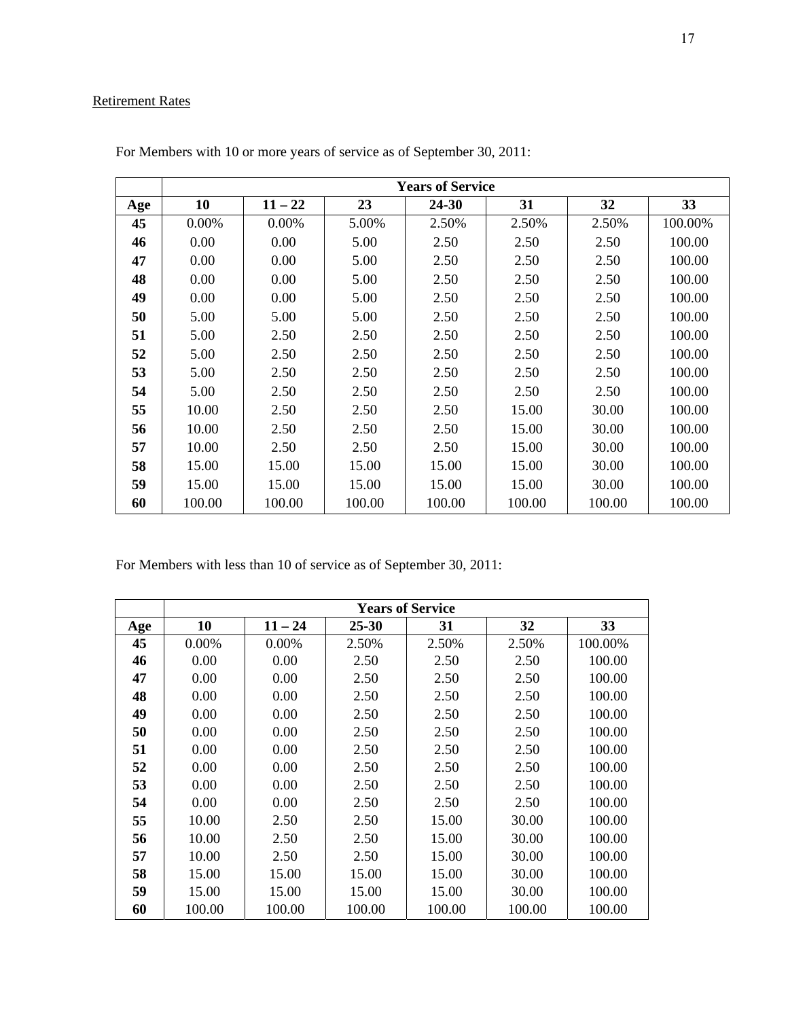# Retirement Rates

|     | <b>Years of Service</b> |           |        |        |        |        |         |
|-----|-------------------------|-----------|--------|--------|--------|--------|---------|
| Age | 10                      | $11 - 22$ | 23     | 24-30  | 31     | 32     | 33      |
| 45  | 0.00%                   | 0.00%     | 5.00%  | 2.50%  | 2.50%  | 2.50%  | 100.00% |
| 46  | 0.00                    | 0.00      | 5.00   | 2.50   | 2.50   | 2.50   | 100.00  |
| 47  | 0.00                    | 0.00      | 5.00   | 2.50   | 2.50   | 2.50   | 100.00  |
| 48  | 0.00                    | 0.00      | 5.00   | 2.50   | 2.50   | 2.50   | 100.00  |
| 49  | 0.00                    | 0.00      | 5.00   | 2.50   | 2.50   | 2.50   | 100.00  |
| 50  | 5.00                    | 5.00      | 5.00   | 2.50   | 2.50   | 2.50   | 100.00  |
| 51  | 5.00                    | 2.50      | 2.50   | 2.50   | 2.50   | 2.50   | 100.00  |
| 52  | 5.00                    | 2.50      | 2.50   | 2.50   | 2.50   | 2.50   | 100.00  |
| 53  | 5.00                    | 2.50      | 2.50   | 2.50   | 2.50   | 2.50   | 100.00  |
| 54  | 5.00                    | 2.50      | 2.50   | 2.50   | 2.50   | 2.50   | 100.00  |
| 55  | 10.00                   | 2.50      | 2.50   | 2.50   | 15.00  | 30.00  | 100.00  |
| 56  | 10.00                   | 2.50      | 2.50   | 2.50   | 15.00  | 30.00  | 100.00  |
| 57  | 10.00                   | 2.50      | 2.50   | 2.50   | 15.00  | 30.00  | 100.00  |
| 58  | 15.00                   | 15.00     | 15.00  | 15.00  | 15.00  | 30.00  | 100.00  |
| 59  | 15.00                   | 15.00     | 15.00  | 15.00  | 15.00  | 30.00  | 100.00  |
| 60  | 100.00                  | 100.00    | 100.00 | 100.00 | 100.00 | 100.00 | 100.00  |

For Members with 10 or more years of service as of September 30, 2011:

For Members with less than 10 of service as of September 30, 2011:

|     | <b>Years of Service</b> |           |           |        |        |         |
|-----|-------------------------|-----------|-----------|--------|--------|---------|
| Age | 10                      | $11 - 24$ | $25 - 30$ | 31     | 32     | 33      |
| 45  | 0.00%                   | 0.00%     | 2.50%     | 2.50%  | 2.50%  | 100.00% |
| 46  | 0.00                    | 0.00      | 2.50      | 2.50   | 2.50   | 100.00  |
| 47  | 0.00                    | 0.00      | 2.50      | 2.50   | 2.50   | 100.00  |
| 48  | 0.00                    | 0.00      | 2.50      | 2.50   | 2.50   | 100.00  |
| 49  | 0.00                    | 0.00      | 2.50      | 2.50   | 2.50   | 100.00  |
| 50  | 0.00                    | 0.00      | 2.50      | 2.50   | 2.50   | 100.00  |
| 51  | 0.00                    | 0.00      | 2.50      | 2.50   | 2.50   | 100.00  |
| 52  | 0.00                    | 0.00      | 2.50      | 2.50   | 2.50   | 100.00  |
| 53  | 0.00                    | 0.00      | 2.50      | 2.50   | 2.50   | 100.00  |
| 54  | 0.00                    | 0.00      | 2.50      | 2.50   | 2.50   | 100.00  |
| 55  | 10.00                   | 2.50      | 2.50      | 15.00  | 30.00  | 100.00  |
| 56  | 10.00                   | 2.50      | 2.50      | 15.00  | 30.00  | 100.00  |
| 57  | 10.00                   | 2.50      | 2.50      | 15.00  | 30.00  | 100.00  |
| 58  | 15.00                   | 15.00     | 15.00     | 15.00  | 30.00  | 100.00  |
| 59  | 15.00                   | 15.00     | 15.00     | 15.00  | 30.00  | 100.00  |
| 60  | 100.00                  | 100.00    | 100.00    | 100.00 | 100.00 | 100.00  |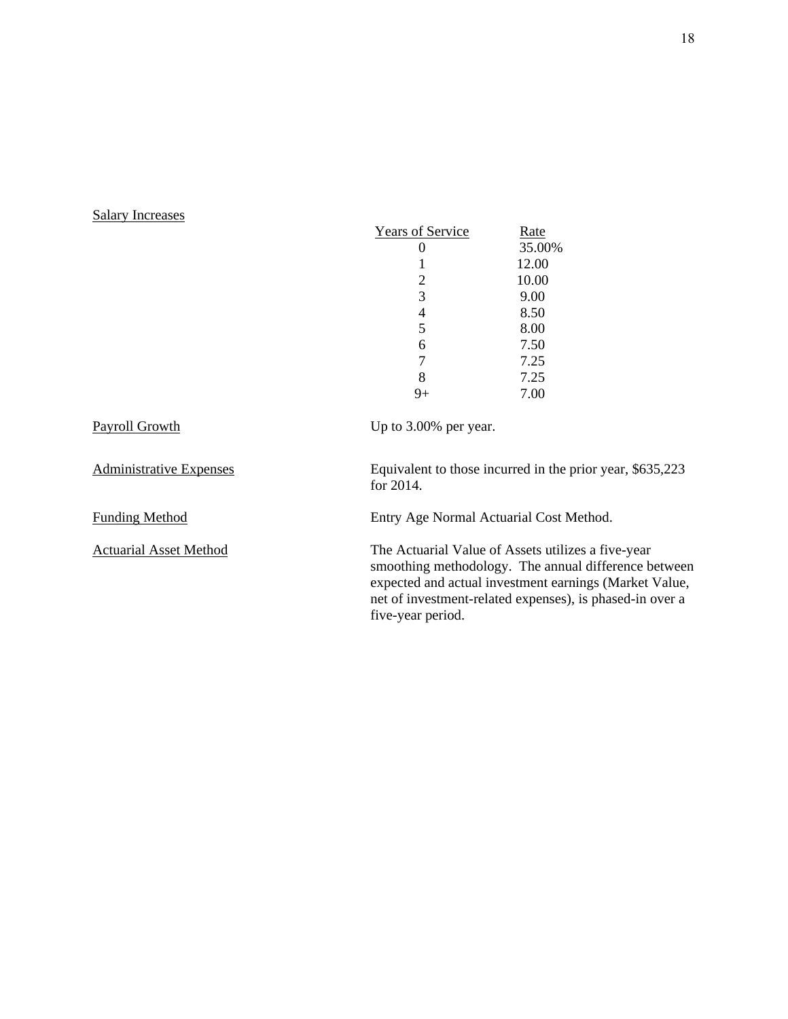# Salary Increases

|                                | <b>Years of Service</b><br>0<br>1<br>$\overline{c}$<br>3<br>4<br>5<br>6<br>$\overline{7}$<br>8 | <u>Rate</u><br>35.00%<br>12.00<br>10.00<br>9.00<br>8.50<br>8.00<br>7.50<br>7.25<br>7.25                                                                                                                                          |
|--------------------------------|------------------------------------------------------------------------------------------------|----------------------------------------------------------------------------------------------------------------------------------------------------------------------------------------------------------------------------------|
|                                | $9+$                                                                                           | 7.00                                                                                                                                                                                                                             |
| <b>Payroll Growth</b>          | Up to 3.00% per year.                                                                          |                                                                                                                                                                                                                                  |
| <b>Administrative Expenses</b> | for 2014.                                                                                      | Equivalent to those incurred in the prior year, \$635,223                                                                                                                                                                        |
| <b>Funding Method</b>          | Entry Age Normal Actuarial Cost Method.                                                        |                                                                                                                                                                                                                                  |
| <b>Actuarial Asset Method</b>  | five-year period.                                                                              | The Actuarial Value of Assets utilizes a five-year<br>smoothing methodology. The annual difference between<br>expected and actual investment earnings (Market Value,<br>net of investment-related expenses), is phased-in over a |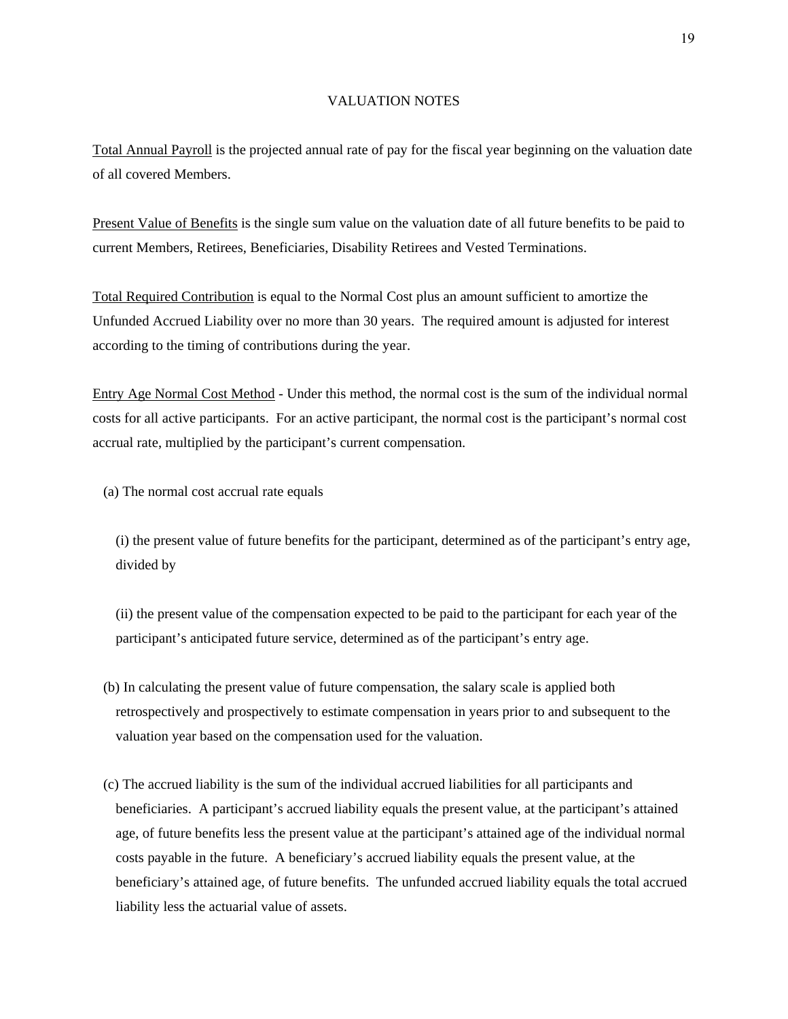#### VALUATION NOTES

Total Annual Payroll is the projected annual rate of pay for the fiscal year beginning on the valuation date of all covered Members.

Present Value of Benefits is the single sum value on the valuation date of all future benefits to be paid to current Members, Retirees, Beneficiaries, Disability Retirees and Vested Terminations.

Total Required Contribution is equal to the Normal Cost plus an amount sufficient to amortize the Unfunded Accrued Liability over no more than 30 years. The required amount is adjusted for interest according to the timing of contributions during the year.

Entry Age Normal Cost Method - Under this method, the normal cost is the sum of the individual normal costs for all active participants. For an active participant, the normal cost is the participant's normal cost accrual rate, multiplied by the participant's current compensation.

(a) The normal cost accrual rate equals

(i) the present value of future benefits for the participant, determined as of the participant's entry age, divided by

(ii) the present value of the compensation expected to be paid to the participant for each year of the participant's anticipated future service, determined as of the participant's entry age.

- (b) In calculating the present value of future compensation, the salary scale is applied both retrospectively and prospectively to estimate compensation in years prior to and subsequent to the valuation year based on the compensation used for the valuation.
- (c) The accrued liability is the sum of the individual accrued liabilities for all participants and beneficiaries. A participant's accrued liability equals the present value, at the participant's attained age, of future benefits less the present value at the participant's attained age of the individual normal costs payable in the future. A beneficiary's accrued liability equals the present value, at the beneficiary's attained age, of future benefits. The unfunded accrued liability equals the total accrued liability less the actuarial value of assets.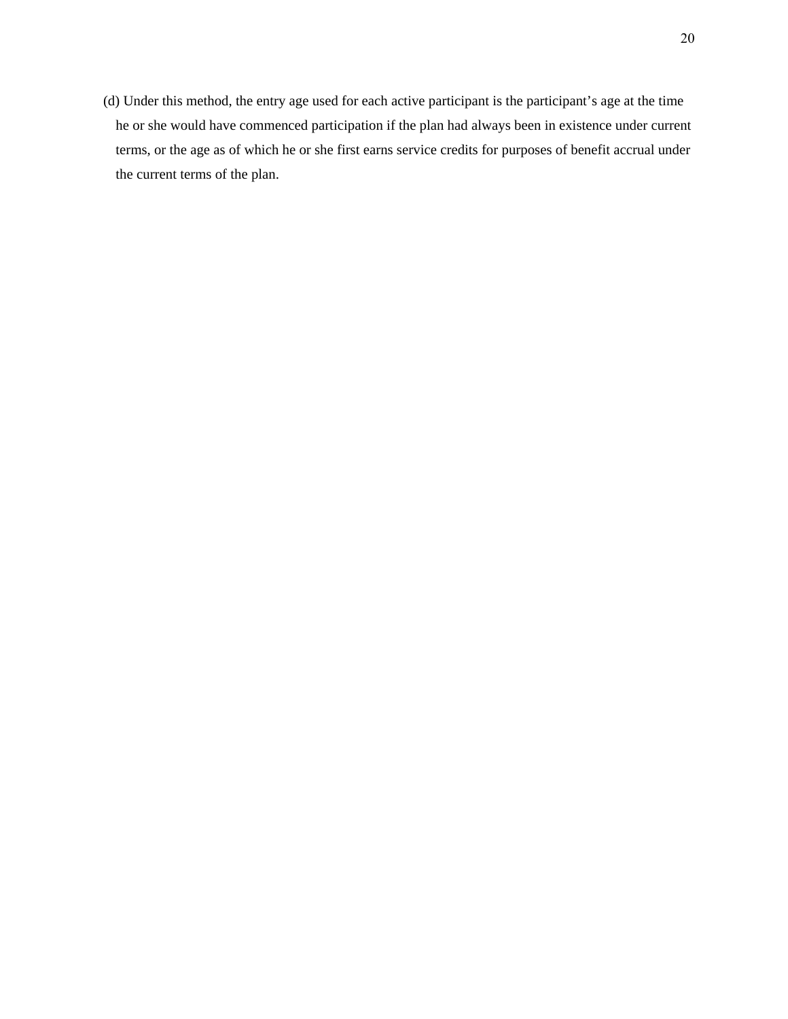(d) Under this method, the entry age used for each active participant is the participant's age at the time he or she would have commenced participation if the plan had always been in existence under current terms, or the age as of which he or she first earns service credits for purposes of benefit accrual under the current terms of the plan.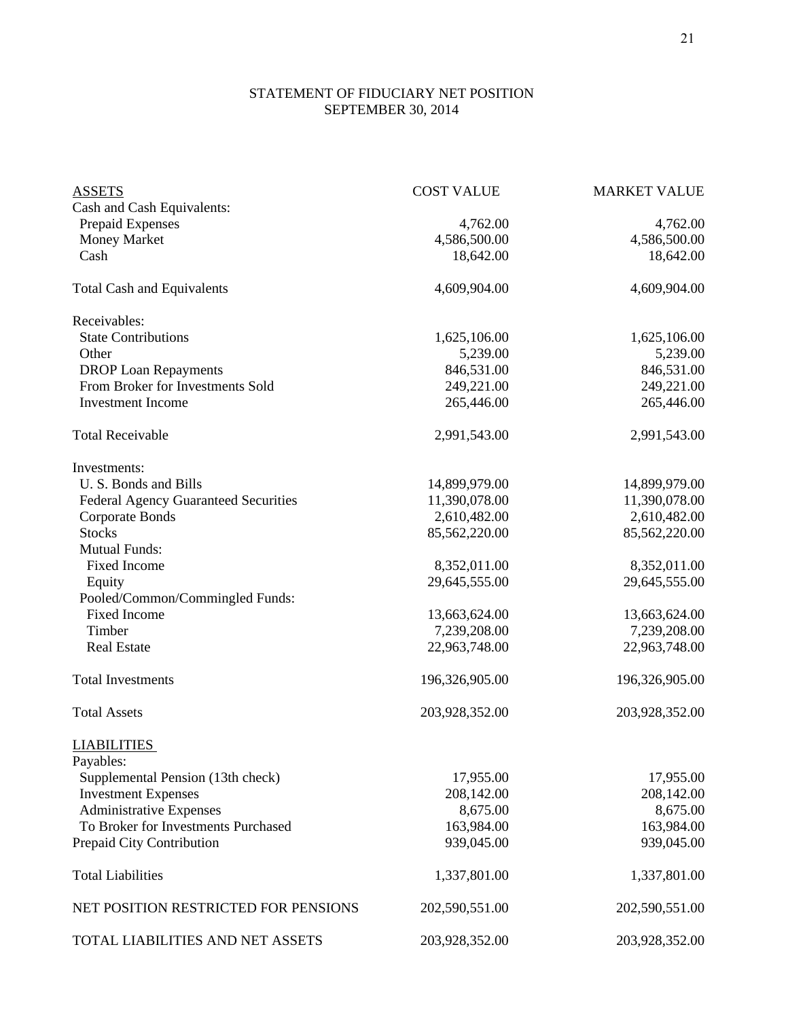### STATEMENT OF FIDUCIARY NET POSITION **SEPTEMBER 30, 2014**

| <b>ASSETS</b>                               | <b>COST VALUE</b> | <b>MARKET VALUE</b> |
|---------------------------------------------|-------------------|---------------------|
| Cash and Cash Equivalents:                  |                   |                     |
| Prepaid Expenses                            | 4,762.00          | 4,762.00            |
| <b>Money Market</b>                         | 4,586,500.00      | 4,586,500.00        |
| Cash                                        | 18,642.00         | 18,642.00           |
|                                             |                   |                     |
| <b>Total Cash and Equivalents</b>           | 4,609,904.00      | 4,609,904.00        |
| Receivables:                                |                   |                     |
| <b>State Contributions</b>                  | 1,625,106.00      | 1,625,106.00        |
| Other                                       | 5,239.00          | 5,239.00            |
| <b>DROP</b> Loan Repayments                 | 846,531.00        | 846,531.00          |
| From Broker for Investments Sold            | 249,221.00        | 249,221.00          |
| <b>Investment Income</b>                    | 265,446.00        | 265,446.00          |
|                                             |                   |                     |
| <b>Total Receivable</b>                     | 2,991,543.00      | 2,991,543.00        |
| Investments:                                |                   |                     |
| U.S. Bonds and Bills                        | 14,899,979.00     | 14,899,979.00       |
| <b>Federal Agency Guaranteed Securities</b> | 11,390,078.00     | 11,390,078.00       |
| <b>Corporate Bonds</b>                      | 2,610,482.00      | 2,610,482.00        |
| <b>Stocks</b>                               | 85,562,220.00     | 85,562,220.00       |
| <b>Mutual Funds:</b>                        |                   |                     |
| <b>Fixed Income</b>                         | 8,352,011.00      | 8,352,011.00        |
| Equity                                      | 29,645,555.00     | 29,645,555.00       |
| Pooled/Common/Commingled Funds:             |                   |                     |
| <b>Fixed Income</b>                         | 13,663,624.00     | 13,663,624.00       |
| Timber                                      | 7,239,208.00      | 7,239,208.00        |
| <b>Real Estate</b>                          | 22,963,748.00     | 22,963,748.00       |
|                                             |                   |                     |
| <b>Total Investments</b>                    | 196,326,905.00    | 196,326,905.00      |
| <b>Total Assets</b>                         | 203,928,352.00    | 203,928,352.00      |
| <b>LIABILITIES</b>                          |                   |                     |
| Payables:                                   |                   |                     |
| Supplemental Pension (13th check)           | 17,955.00         | 17,955.00           |
| <b>Investment Expenses</b>                  | 208,142.00        | 208,142.00          |
| <b>Administrative Expenses</b>              | 8,675.00          | 8,675.00            |
| To Broker for Investments Purchased         | 163,984.00        | 163,984.00          |
| Prepaid City Contribution                   | 939,045.00        | 939,045.00          |
|                                             |                   |                     |
| <b>Total Liabilities</b>                    | 1,337,801.00      | 1,337,801.00        |
| NET POSITION RESTRICTED FOR PENSIONS        | 202,590,551.00    | 202,590,551.00      |
| TOTAL LIABILITIES AND NET ASSETS            | 203,928,352.00    | 203,928,352.00      |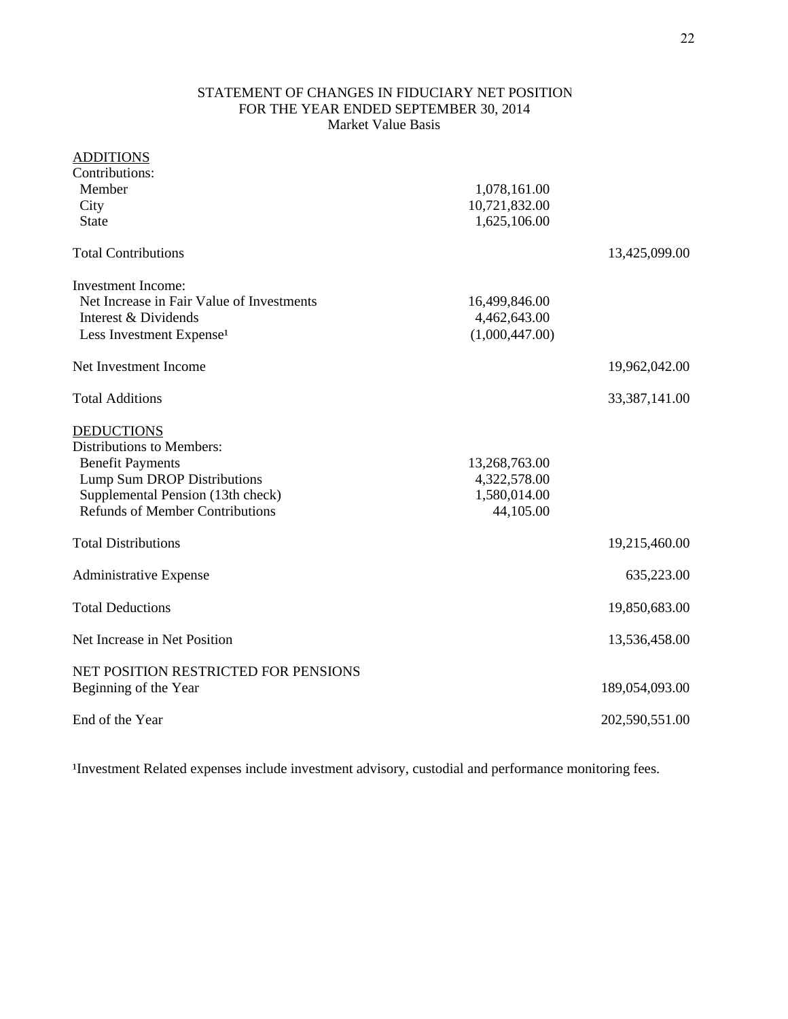### STATEMENT OF CHANGES IN FIDUCIARY NET POSITION FOR THE YEAR ENDED SEPTEMBER 30, 2014 Market Value Basis

## ADDITIONS

| Contributions:                            |                |                 |
|-------------------------------------------|----------------|-----------------|
| Member                                    | 1,078,161.00   |                 |
| City                                      | 10,721,832.00  |                 |
| <b>State</b>                              | 1,625,106.00   |                 |
| <b>Total Contributions</b>                |                | 13,425,099.00   |
| <b>Investment Income:</b>                 |                |                 |
| Net Increase in Fair Value of Investments | 16,499,846.00  |                 |
| Interest & Dividends                      | 4,462,643.00   |                 |
| Less Investment Expense <sup>1</sup>      | (1,000,447.00) |                 |
| Net Investment Income                     |                | 19,962,042.00   |
| <b>Total Additions</b>                    |                | 33, 387, 141.00 |
| <b>DEDUCTIONS</b>                         |                |                 |
| <b>Distributions to Members:</b>          |                |                 |
| <b>Benefit Payments</b>                   | 13,268,763.00  |                 |
| Lump Sum DROP Distributions               | 4,322,578.00   |                 |
| Supplemental Pension (13th check)         | 1,580,014.00   |                 |
| <b>Refunds of Member Contributions</b>    | 44,105.00      |                 |
| <b>Total Distributions</b>                |                | 19,215,460.00   |
| <b>Administrative Expense</b>             |                | 635,223.00      |
| <b>Total Deductions</b>                   |                | 19,850,683.00   |
| Net Increase in Net Position              |                | 13,536,458.00   |
| NET POSITION RESTRICTED FOR PENSIONS      |                |                 |
| Beginning of the Year                     |                | 189,054,093.00  |
| End of the Year                           |                | 202,590,551.00  |
|                                           |                |                 |

<sup>1</sup>Investment Related expenses include investment advisory, custodial and performance monitoring fees.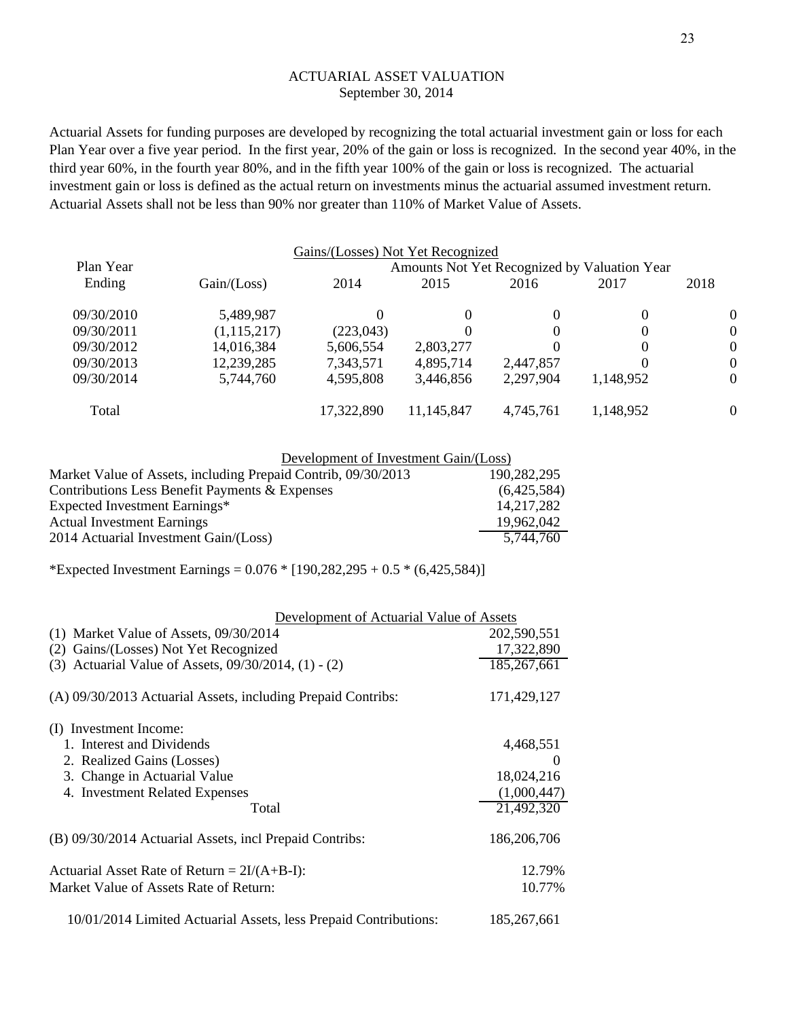#### ACTUARIAL ASSET VALUATION September 30, 2014

Actuarial Assets for funding purposes are developed by recognizing the total actuarial investment gain or loss for each Plan Year over a five year period. In the first year, 20% of the gain or loss is recognized. In the second year 40%, in the third year 60%, in the fourth year 80%, and in the fifth year 100% of the gain or loss is recognized. The actuarial investment gain or loss is defined as the actual return on investments minus the actuarial assumed investment return. Actuarial Assets shall not be less than 90% nor greater than 110% of Market Value of Assets.

|            |               | Gains/(Losses) Not Yet Recognized            |            |           |           |          |  |
|------------|---------------|----------------------------------------------|------------|-----------|-----------|----------|--|
| Plan Year  |               | Amounts Not Yet Recognized by Valuation Year |            |           |           |          |  |
| Ending     | Gain / (Loss) | 2014                                         | 2015       | 2016      | 2017      | 2018     |  |
| 09/30/2010 | 5,489,987     | 0                                            | $\theta$   | 0         | 0         | $\theta$ |  |
| 09/30/2011 | (1,115,217)   | (223, 043)                                   | $\theta$   | 0         | 0         | $\theta$ |  |
| 09/30/2012 | 14,016,384    | 5,606,554                                    | 2,803,277  | 0         | 0         | $\Omega$ |  |
| 09/30/2013 | 12,239,285    | 7,343,571                                    | 4,895,714  | 2,447,857 | 0         | $\theta$ |  |
| 09/30/2014 | 5,744,760     | 4,595,808                                    | 3,446,856  | 2,297,904 | 1,148,952 | $\theta$ |  |
| Total      |               | 17,322,890                                   | 11,145,847 | 4,745,761 | 1,148,952 | $\theta$ |  |

| Development of Investment Gain/(Loss)                         |             |
|---------------------------------------------------------------|-------------|
| Market Value of Assets, including Prepaid Contrib, 09/30/2013 | 190,282,295 |
| Contributions Less Benefit Payments & Expenses                | (6,425,584) |
| Expected Investment Earnings*                                 | 14,217,282  |
| <b>Actual Investment Earnings</b>                             | 19,962,042  |
| 2014 Actuarial Investment Gain/(Loss)                         | 5,744,760   |

\*Expected Investment Earnings =  $0.076 * [190,282,295 + 0.5 * (6,425,584)]$ 

| Development of Actuarial Value of Assets                         |             |
|------------------------------------------------------------------|-------------|
| $(1)$ Market Value of Assets, $09/30/2014$                       | 202,590,551 |
| (2) Gains/(Losses) Not Yet Recognized                            | 17,322,890  |
| (3) Actuarial Value of Assets, 09/30/2014, (1) - (2)             | 185,267,661 |
| (A) 09/30/2013 Actuarial Assets, including Prepaid Contribs:     | 171,429,127 |
| (I) Investment Income:                                           |             |
| 1. Interest and Dividends                                        | 4,468,551   |
| 2. Realized Gains (Losses)                                       | $\theta$    |
| 3. Change in Actuarial Value                                     | 18,024,216  |
| 4. Investment Related Expenses                                   | (1,000,447) |
| Total                                                            | 21,492,320  |
| (B) 09/30/2014 Actuarial Assets, incl Prepaid Contribs:          | 186,206,706 |
| Actuarial Asset Rate of Return = $2I/(A+B-I)$ :                  | 12.79%      |
| Market Value of Assets Rate of Return:                           | 10.77%      |
| 10/01/2014 Limited Actuarial Assets, less Prepaid Contributions: | 185,267,661 |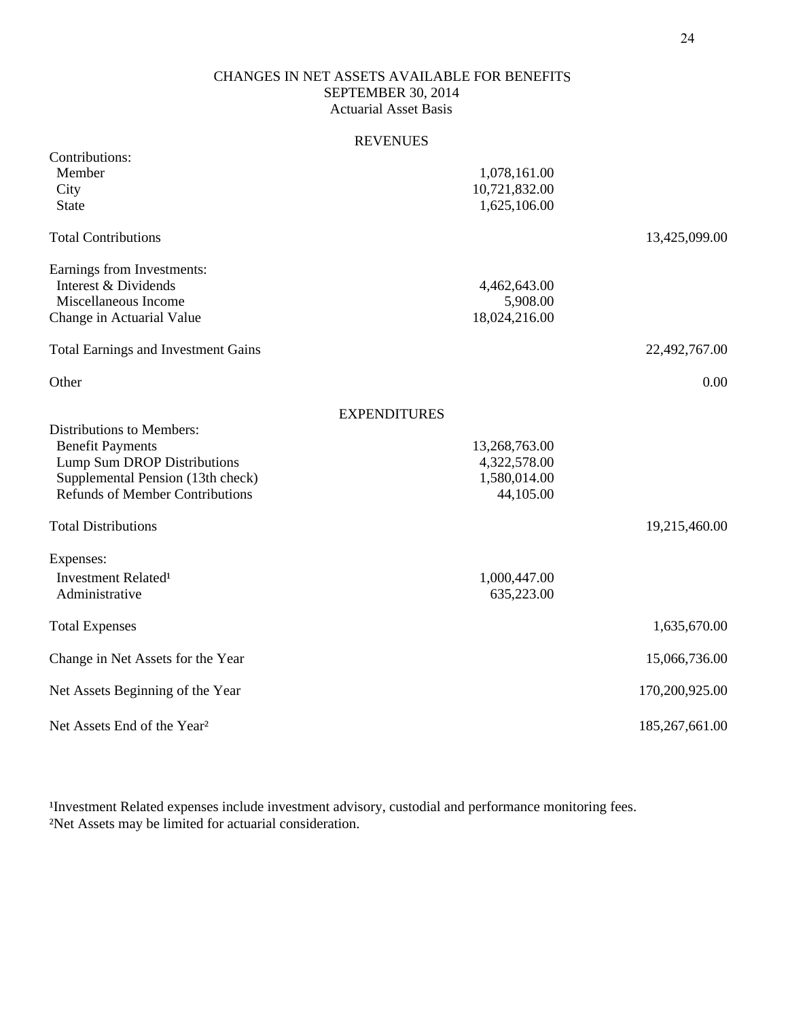### SEPTEMBER 30, 2014 Actuarial Asset Basis CHANGES IN NET ASSETS AVAILABLE FOR BENEFITS

#### REVENUES

| Contributions:                             |                     |                |
|--------------------------------------------|---------------------|----------------|
| Member                                     | 1,078,161.00        |                |
| City                                       | 10,721,832.00       |                |
| <b>State</b>                               | 1,625,106.00        |                |
| <b>Total Contributions</b>                 |                     | 13,425,099.00  |
| Earnings from Investments:                 |                     |                |
| Interest & Dividends                       | 4,462,643.00        |                |
| Miscellaneous Income                       | 5,908.00            |                |
| Change in Actuarial Value                  | 18,024,216.00       |                |
| <b>Total Earnings and Investment Gains</b> |                     | 22,492,767.00  |
| Other                                      |                     | 0.00           |
|                                            | <b>EXPENDITURES</b> |                |
| <b>Distributions to Members:</b>           |                     |                |
| <b>Benefit Payments</b>                    | 13,268,763.00       |                |
| Lump Sum DROP Distributions                | 4,322,578.00        |                |
| Supplemental Pension (13th check)          | 1,580,014.00        |                |
| <b>Refunds of Member Contributions</b>     | 44,105.00           |                |
| <b>Total Distributions</b>                 |                     | 19,215,460.00  |
| Expenses:                                  |                     |                |
| Investment Related <sup>1</sup>            | 1,000,447.00        |                |
| Administrative                             | 635,223.00          |                |
| <b>Total Expenses</b>                      |                     | 1,635,670.00   |
| Change in Net Assets for the Year          |                     | 15,066,736.00  |
| Net Assets Beginning of the Year           |                     | 170,200,925.00 |
| Net Assets End of the Year <sup>2</sup>    |                     | 185,267,661.00 |

Investment Related expenses include investment advisory, custodial and performance monitoring fees. ²Net Assets may be limited for actuarial consideration.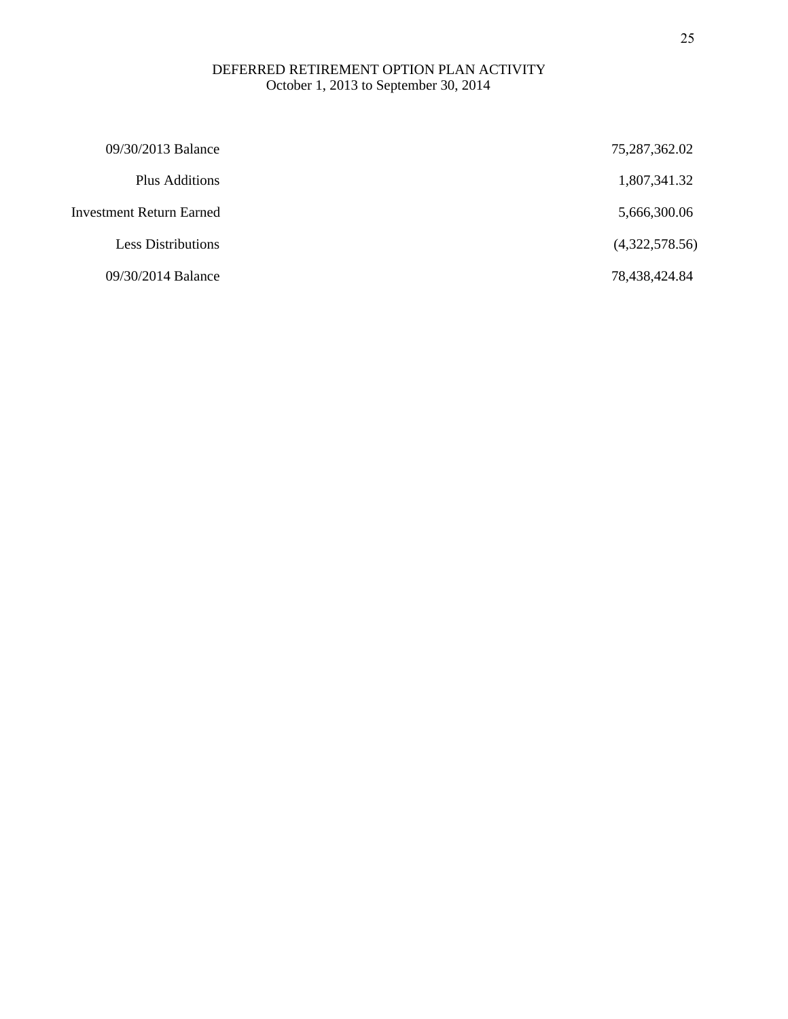#### October 1, 2013 to September 30, 2014 DEFERRED RETIREMENT OPTION PLAN ACTIVITY

| 09/30/2013 Balance        | 75,287,362.02  |
|---------------------------|----------------|
| Plus Additions            | 1,807,341.32   |
| Investment Return Earned  | 5,666,300.06   |
| <b>Less Distributions</b> | (4,322,578.56) |
| 09/30/2014 Balance        | 78,438,424.84  |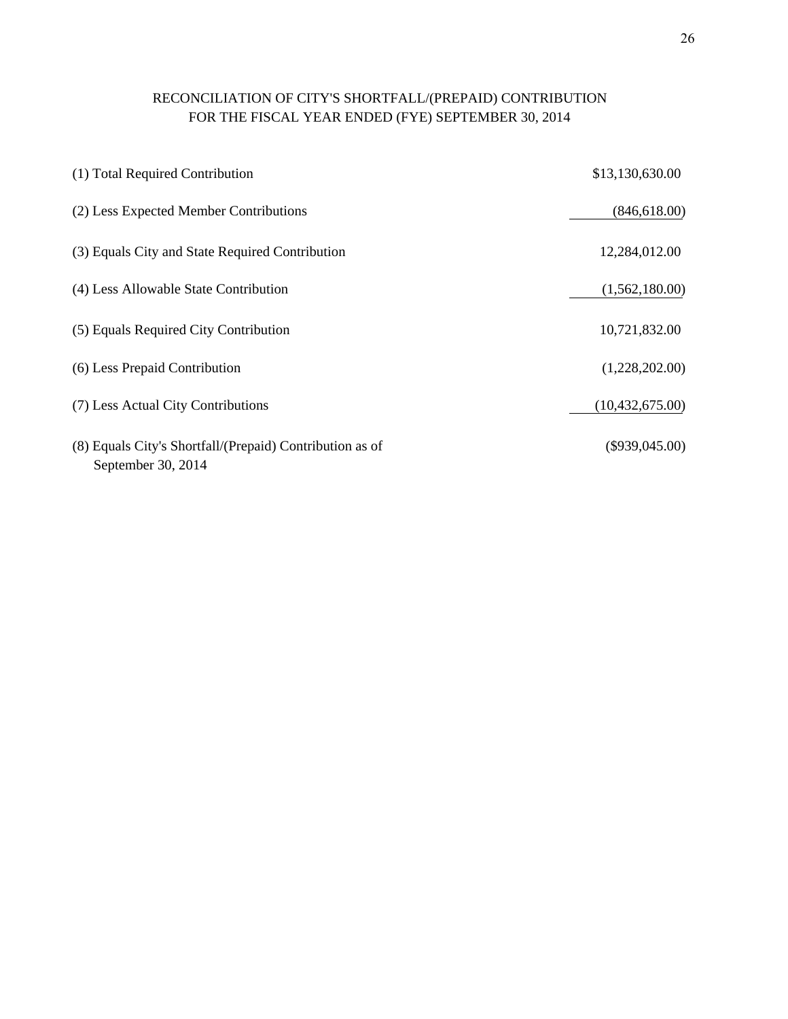# RECONCILIATION OF CITY'S SHORTFALL/(PREPAID) CONTRIBUTION FOR THE FISCAL YEAR ENDED (FYE) SEPTEMBER 30, 2014

| (1) Total Required Contribution                                                | \$13,130,630.00   |
|--------------------------------------------------------------------------------|-------------------|
| (2) Less Expected Member Contributions                                         | (846, 618.00)     |
| (3) Equals City and State Required Contribution                                | 12,284,012.00     |
| (4) Less Allowable State Contribution                                          | (1,562,180.00)    |
| (5) Equals Required City Contribution                                          | 10,721,832.00     |
| (6) Less Prepaid Contribution                                                  | (1,228,202.00)    |
| (7) Less Actual City Contributions                                             | (10, 432, 675.00) |
| (8) Equals City's Shortfall/(Prepaid) Contribution as of<br>September 30, 2014 | $(\$939,045.00)$  |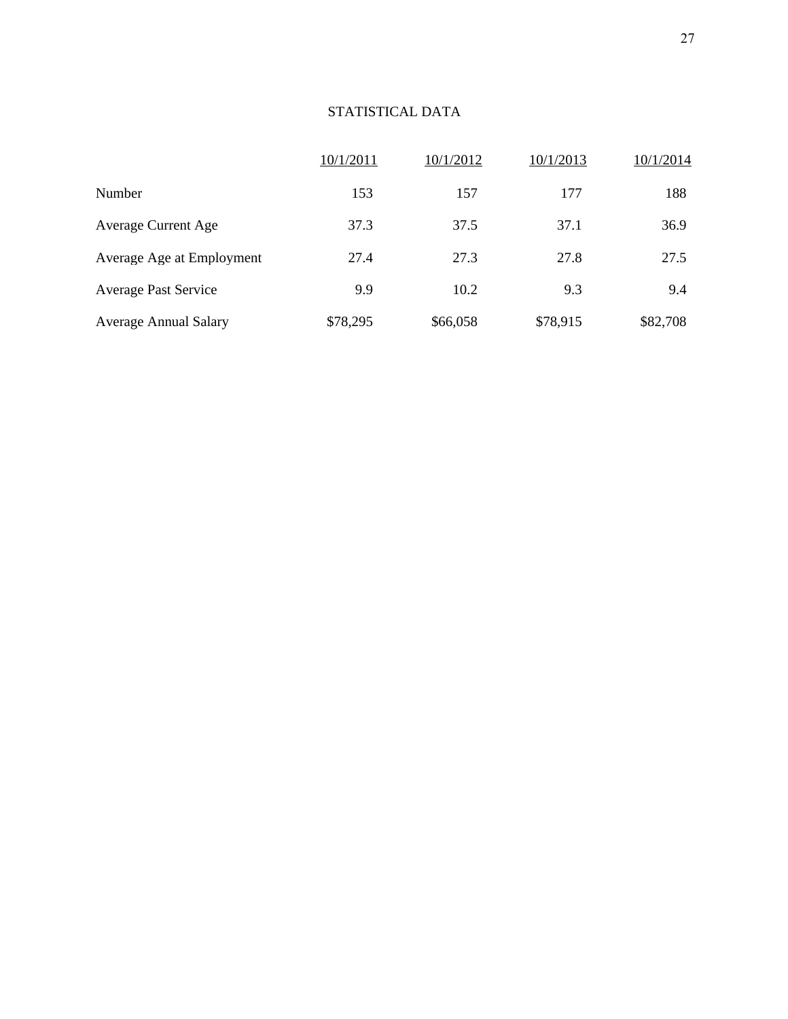# STATISTICAL DATA

|                              | 10/1/2011 | 10/1/2012 | 10/1/2013 | 10/1/2014 |
|------------------------------|-----------|-----------|-----------|-----------|
| Number                       | 153       | 157       | 177       | 188       |
| <b>Average Current Age</b>   | 37.3      | 37.5      | 37.1      | 36.9      |
| Average Age at Employment    | 27.4      | 27.3      | 27.8      | 27.5      |
| <b>Average Past Service</b>  | 9.9       | 10.2      | 9.3       | 9.4       |
| <b>Average Annual Salary</b> | \$78,295  | \$66,058  | \$78,915  | \$82,708  |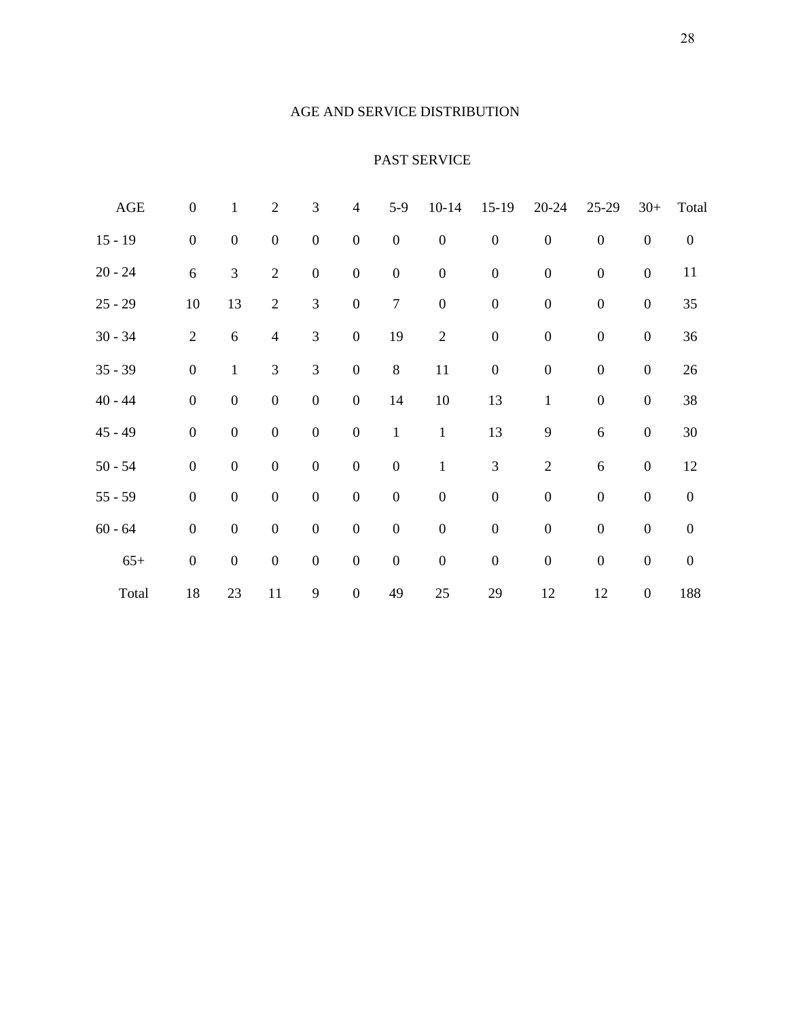#### AGE AND SERVICE DISTRIBUTION

## PAST SERVICE

| <b>AGE</b> | $\boldsymbol{0}$ | $\mathbf{1}$     | $\sqrt{2}$       | 3                | $\overline{4}$   | $5-9$            | $10 - 14$        | $15-19$          | $20 - 24$        | 25-29            | $30+$            | Total            |
|------------|------------------|------------------|------------------|------------------|------------------|------------------|------------------|------------------|------------------|------------------|------------------|------------------|
| $15 - 19$  | $\boldsymbol{0}$ | $\boldsymbol{0}$ | $\boldsymbol{0}$ | $\boldsymbol{0}$ | $\boldsymbol{0}$ | $\boldsymbol{0}$ | $\boldsymbol{0}$ | $\boldsymbol{0}$ | $\boldsymbol{0}$ | $\boldsymbol{0}$ | $\boldsymbol{0}$ | $\boldsymbol{0}$ |
| $20 - 24$  | $\sqrt{6}$       | 3                | $\sqrt{2}$       | $\boldsymbol{0}$ | $\boldsymbol{0}$ | $\boldsymbol{0}$ | $\boldsymbol{0}$ | $\boldsymbol{0}$ | $\boldsymbol{0}$ | $\boldsymbol{0}$ | $\boldsymbol{0}$ | 11               |
| $25 - 29$  | 10               | 13               | $\mathfrak{2}$   | $\mathfrak{Z}$   | $\boldsymbol{0}$ | $\boldsymbol{7}$ | $\boldsymbol{0}$ | $\boldsymbol{0}$ | $\boldsymbol{0}$ | $\boldsymbol{0}$ | $\boldsymbol{0}$ | 35               |
| $30 - 34$  | $\mathbf{2}$     | $\sqrt{6}$       | $\overline{4}$   | $\mathfrak{Z}$   | $\boldsymbol{0}$ | 19               | $\sqrt{2}$       | $\boldsymbol{0}$ | $\boldsymbol{0}$ | $\boldsymbol{0}$ | $\boldsymbol{0}$ | 36               |
| $35 - 39$  | $\boldsymbol{0}$ | $\mathbf{1}$     | 3                | 3                | $\boldsymbol{0}$ | $8\,$            | 11               | $\boldsymbol{0}$ | $\boldsymbol{0}$ | $\boldsymbol{0}$ | $\boldsymbol{0}$ | $26\,$           |
| $40 - 44$  | $\boldsymbol{0}$ | $\boldsymbol{0}$ | $\boldsymbol{0}$ | $\boldsymbol{0}$ | $\boldsymbol{0}$ | 14               | 10               | 13               | $\mathbf{1}$     | $\boldsymbol{0}$ | $\boldsymbol{0}$ | 38               |
| $45 - 49$  | $\boldsymbol{0}$ | $\boldsymbol{0}$ | $\boldsymbol{0}$ | $\boldsymbol{0}$ | $\boldsymbol{0}$ | $1\,$            | $\mathbf 1$      | 13               | 9                | $\sqrt{6}$       | $\boldsymbol{0}$ | $30\,$           |
| $50 - 54$  | $\boldsymbol{0}$ | $\boldsymbol{0}$ | $\boldsymbol{0}$ | $\boldsymbol{0}$ | $\boldsymbol{0}$ | $\boldsymbol{0}$ | $\,1$            | $\mathfrak{Z}$   | $\overline{2}$   | $\sqrt{6}$       | $\boldsymbol{0}$ | 12               |
| $55 - 59$  | $\boldsymbol{0}$ | $\boldsymbol{0}$ | $\boldsymbol{0}$ | $\boldsymbol{0}$ | $\boldsymbol{0}$ | $\boldsymbol{0}$ | $\boldsymbol{0}$ | $\boldsymbol{0}$ | $\boldsymbol{0}$ | $\boldsymbol{0}$ | $\boldsymbol{0}$ | $\boldsymbol{0}$ |
| $60 - 64$  | $\boldsymbol{0}$ | $\boldsymbol{0}$ | $\boldsymbol{0}$ | $\boldsymbol{0}$ | $\boldsymbol{0}$ | $\boldsymbol{0}$ | $\boldsymbol{0}$ | $\boldsymbol{0}$ | $\boldsymbol{0}$ | $\boldsymbol{0}$ | $\boldsymbol{0}$ | $\boldsymbol{0}$ |
| $65+$      | $\boldsymbol{0}$ | $\boldsymbol{0}$ | $\boldsymbol{0}$ | $\boldsymbol{0}$ | $\boldsymbol{0}$ | $\boldsymbol{0}$ | $\boldsymbol{0}$ | $\boldsymbol{0}$ | $\boldsymbol{0}$ | $\boldsymbol{0}$ | $\boldsymbol{0}$ | $\boldsymbol{0}$ |
| Total      | 18               | 23               | 11               | 9                | $\boldsymbol{0}$ | 49               | 25               | 29               | 12               | 12               | $\boldsymbol{0}$ | 188              |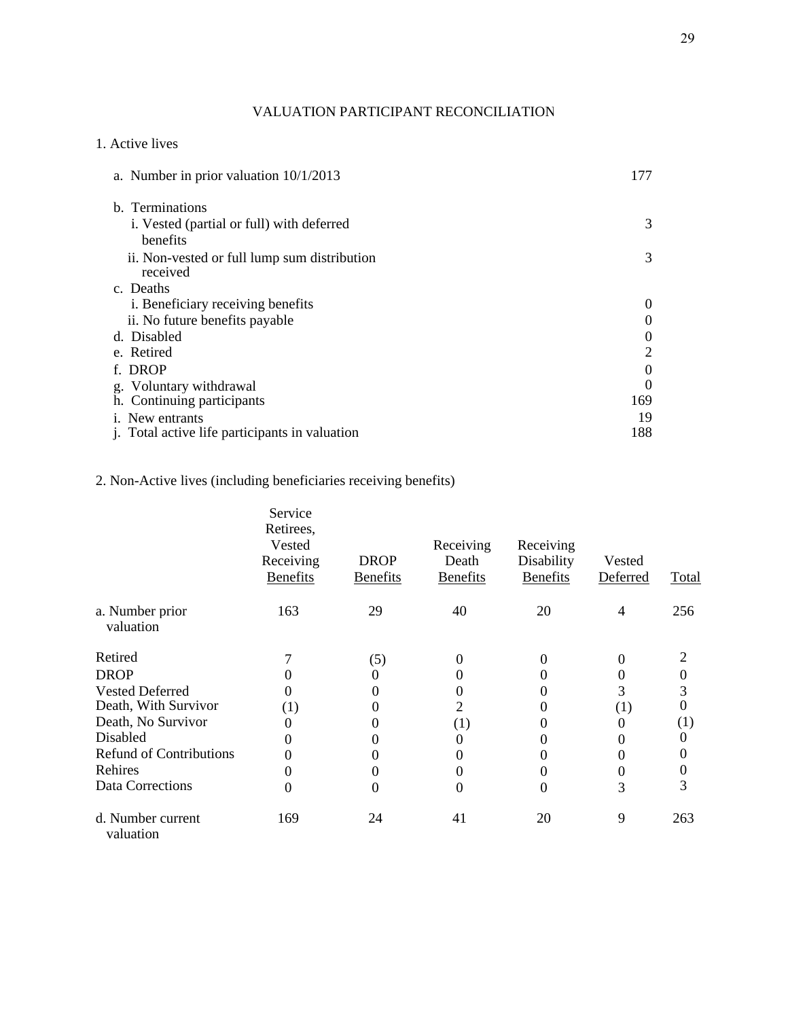## VALUATION PARTICIPANT RECONCILIATION

## 1. Active lives

| a. Number in prior valuation $10/1/2013$                 | 177            |
|----------------------------------------------------------|----------------|
| b. Terminations                                          |                |
| i. Vested (partial or full) with deferred                | 3              |
| benefits                                                 |                |
| ii. Non-vested or full lump sum distribution<br>received | 3              |
| c. Deaths                                                |                |
| i. Beneficiary receiving benefits                        | $\theta$       |
| ii. No future benefits payable                           | $\theta$       |
| d. Disabled                                              | $\overline{0}$ |
| e. Retired                                               | 2              |
| f. DROP                                                  | $\overline{0}$ |
| g. Voluntary withdrawal                                  | $\Omega$       |
| h. Continuing participants                               | 169            |
| <i>i.</i> New entrants                                   | 19             |
| <i>i.</i> Total active life participants in valuation    | 188            |

# 2. Non-Active lives (including beneficiaries receiving benefits)

|                                | Service<br>Retirees,<br>Vested<br>Receiving<br><b>Benefits</b> | <b>DROP</b><br><b>Benefits</b> | Receiving<br>Death<br><b>Benefits</b> | Receiving<br>Disability<br><b>Benefits</b> | Vested<br>Deferred | Total            |
|--------------------------------|----------------------------------------------------------------|--------------------------------|---------------------------------------|--------------------------------------------|--------------------|------------------|
| a. Number prior<br>valuation   | 163                                                            | 29                             | 40                                    | 20                                         | 4                  | 256              |
| Retired                        |                                                                | (5)                            | $\Omega$                              | $\Omega$                                   | $\Omega$           | $\overline{2}$   |
| <b>DROP</b>                    |                                                                | $\theta$                       | 0                                     |                                            | 0                  | 0                |
| <b>Vested Deferred</b>         |                                                                | 0                              | 0                                     |                                            | 3                  | 3                |
| Death, With Survivor           | (1)                                                            | 0                              | 2                                     |                                            | (1)                | 0                |
| Death, No Survivor             |                                                                | 0                              | $\left(1\right)$                      |                                            | $\theta$           | $\left(1\right)$ |
| Disabled                       |                                                                | 0                              | 0                                     |                                            |                    | $^{(1)}$         |
| <b>Refund of Contributions</b> |                                                                | $\theta$                       |                                       |                                            |                    | 0                |
| Rehires                        |                                                                | 0                              |                                       |                                            | $\theta$           | 0                |
| Data Corrections               | 0                                                              | 0                              | 0                                     | $\Omega$                                   | 3                  | 3                |
| d. Number current<br>valuation | 169                                                            | 24                             | 41                                    | 20                                         | 9                  | 263              |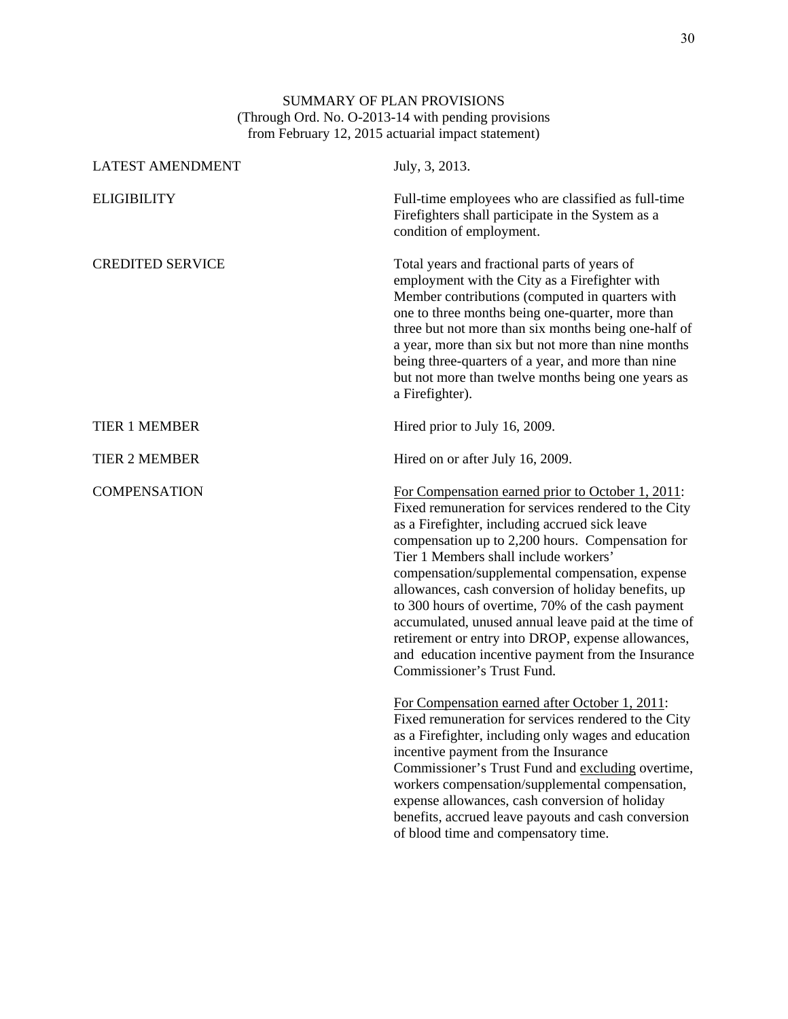#### SUMMARY OF PLAN PROVISIONS (Through Ord. No. O-2013-14 with pending provisions from February 12, 2015 actuarial impact statement)

| <b>LATEST AMENDMENT</b> | July, 3, 2013.                                                                                                                                                                                                                                                                                                                                                                                                                                                                                                                                                                                                            |
|-------------------------|---------------------------------------------------------------------------------------------------------------------------------------------------------------------------------------------------------------------------------------------------------------------------------------------------------------------------------------------------------------------------------------------------------------------------------------------------------------------------------------------------------------------------------------------------------------------------------------------------------------------------|
| <b>ELIGIBILITY</b>      | Full-time employees who are classified as full-time<br>Firefighters shall participate in the System as a<br>condition of employment.                                                                                                                                                                                                                                                                                                                                                                                                                                                                                      |
| <b>CREDITED SERVICE</b> | Total years and fractional parts of years of<br>employment with the City as a Firefighter with<br>Member contributions (computed in quarters with<br>one to three months being one-quarter, more than<br>three but not more than six months being one-half of<br>a year, more than six but not more than nine months<br>being three-quarters of a year, and more than nine<br>but not more than twelve months being one years as<br>a Firefighter).                                                                                                                                                                       |
| <b>TIER 1 MEMBER</b>    | Hired prior to July 16, 2009.                                                                                                                                                                                                                                                                                                                                                                                                                                                                                                                                                                                             |
| <b>TIER 2 MEMBER</b>    | Hired on or after July 16, 2009.                                                                                                                                                                                                                                                                                                                                                                                                                                                                                                                                                                                          |
| <b>COMPENSATION</b>     | For Compensation earned prior to October 1, 2011:<br>Fixed remuneration for services rendered to the City<br>as a Firefighter, including accrued sick leave<br>compensation up to 2,200 hours. Compensation for<br>Tier 1 Members shall include workers'<br>compensation/supplemental compensation, expense<br>allowances, cash conversion of holiday benefits, up<br>to 300 hours of overtime, 70% of the cash payment<br>accumulated, unused annual leave paid at the time of<br>retirement or entry into DROP, expense allowances,<br>and education incentive payment from the Insurance<br>Commissioner's Trust Fund. |
|                         | For Compensation earned after October 1, 2011:<br>Fixed remuneration for services rendered to the City<br>as a Firefighter, including only wages and education<br>incentive payment from the Insurance<br>Commissioner's Trust Fund and excluding overtime,<br>workers compensation/supplemental compensation,<br>expense allowances, cash conversion of holiday<br>benefits, accrued leave payouts and cash conversion<br>of blood time and compensatory time.                                                                                                                                                           |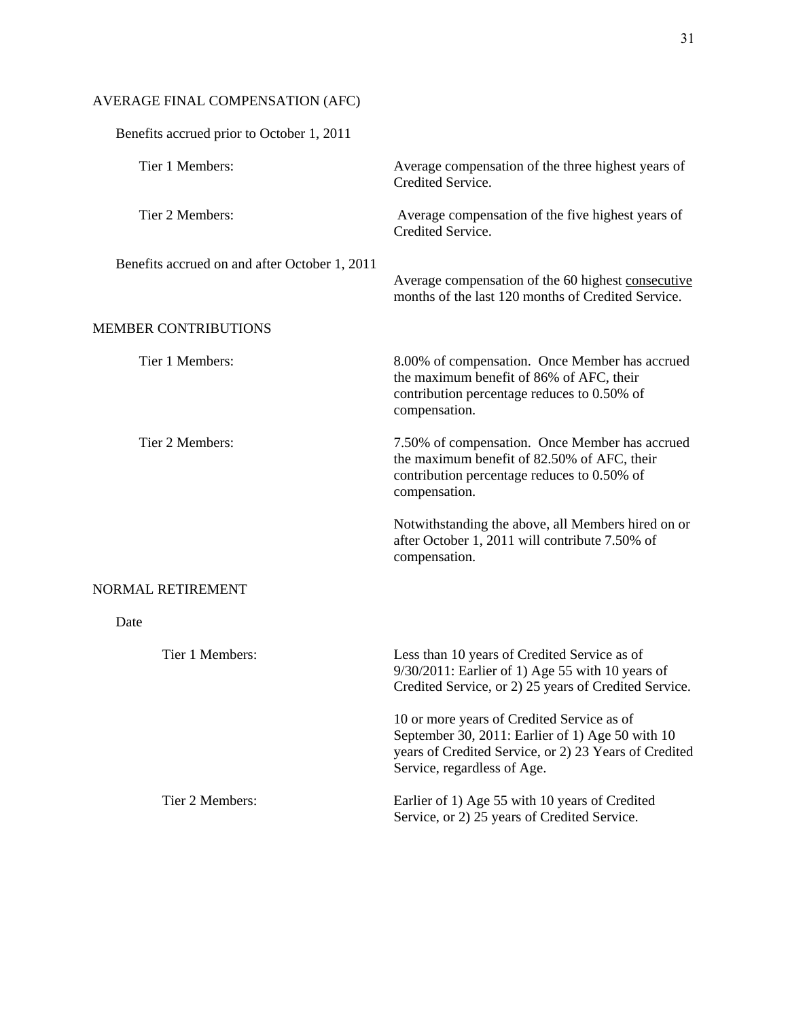# AVERAGE FINAL COMPENSATION (AFC)

| Benefits accrued prior to October 1, 2011     |                                                                                                                                                                                        |
|-----------------------------------------------|----------------------------------------------------------------------------------------------------------------------------------------------------------------------------------------|
| Tier 1 Members:                               | Average compensation of the three highest years of<br>Credited Service.                                                                                                                |
| Tier 2 Members:                               | Average compensation of the five highest years of<br>Credited Service.                                                                                                                 |
| Benefits accrued on and after October 1, 2011 | Average compensation of the 60 highest consecutive<br>months of the last 120 months of Credited Service.                                                                               |
| <b>MEMBER CONTRIBUTIONS</b>                   |                                                                                                                                                                                        |
| Tier 1 Members:                               | 8.00% of compensation. Once Member has accrued<br>the maximum benefit of 86% of AFC, their<br>contribution percentage reduces to 0.50% of<br>compensation.                             |
| Tier 2 Members:                               | 7.50% of compensation. Once Member has accrued<br>the maximum benefit of 82.50% of AFC, their<br>contribution percentage reduces to 0.50% of<br>compensation.                          |
|                                               | Notwithstanding the above, all Members hired on or<br>after October 1, 2011 will contribute 7.50% of<br>compensation.                                                                  |
| NORMAL RETIREMENT                             |                                                                                                                                                                                        |
| Date                                          |                                                                                                                                                                                        |
| Tier 1 Members:                               | Less than 10 years of Credited Service as of<br>9/30/2011: Earlier of 1) Age 55 with 10 years of<br>Credited Service, or 2) 25 years of Credited Service.                              |
|                                               | 10 or more years of Credited Service as of<br>September 30, 2011: Earlier of 1) Age 50 with 10<br>years of Credited Service, or 2) 23 Years of Credited<br>Service, regardless of Age. |
| Tier 2 Members:                               | Earlier of 1) Age 55 with 10 years of Credited<br>Service, or 2) 25 years of Credited Service.                                                                                         |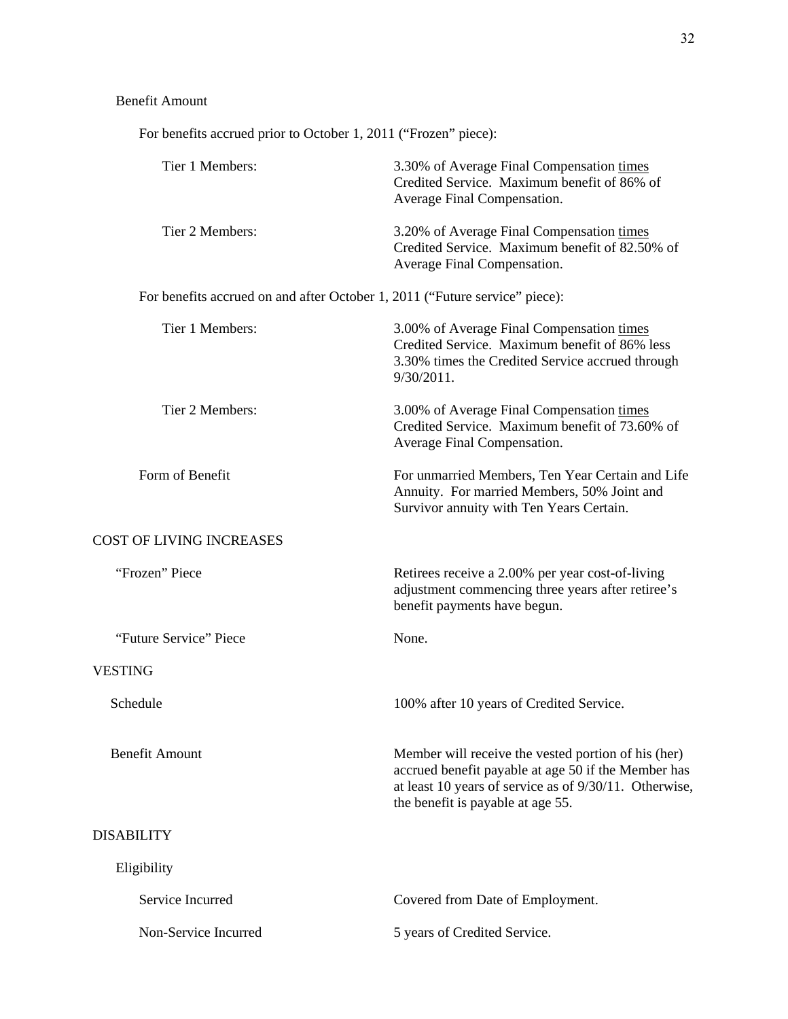For benefits accrued prior to October 1, 2011 ("Frozen" piece):

| Tier 1 Members:                                                             | 3.30% of Average Final Compensation times<br>Credited Service. Maximum benefit of 86% of<br>Average Final Compensation.                                                                                   |
|-----------------------------------------------------------------------------|-----------------------------------------------------------------------------------------------------------------------------------------------------------------------------------------------------------|
| Tier 2 Members:                                                             | 3.20% of Average Final Compensation times<br>Credited Service. Maximum benefit of 82.50% of<br>Average Final Compensation.                                                                                |
| For benefits accrued on and after October 1, 2011 ("Future service" piece): |                                                                                                                                                                                                           |
| Tier 1 Members:                                                             | 3.00% of Average Final Compensation times<br>Credited Service. Maximum benefit of 86% less<br>3.30% times the Credited Service accrued through<br>$9/30/2011$ .                                           |
| Tier 2 Members:                                                             | 3.00% of Average Final Compensation times<br>Credited Service. Maximum benefit of 73.60% of<br>Average Final Compensation.                                                                                |
| Form of Benefit                                                             | For unmarried Members, Ten Year Certain and Life<br>Annuity. For married Members, 50% Joint and<br>Survivor annuity with Ten Years Certain.                                                               |
| <b>COST OF LIVING INCREASES</b>                                             |                                                                                                                                                                                                           |
| "Frozen" Piece                                                              | Retirees receive a 2.00% per year cost-of-living<br>adjustment commencing three years after retiree's<br>benefit payments have begun.                                                                     |
| "Future Service" Piece                                                      | None.                                                                                                                                                                                                     |
| <b>VESTING</b>                                                              |                                                                                                                                                                                                           |
| Schedule                                                                    | 100% after 10 years of Credited Service.                                                                                                                                                                  |
| <b>Benefit Amount</b>                                                       | Member will receive the vested portion of his (her)<br>accrued benefit payable at age 50 if the Member has<br>at least 10 years of service as of 9/30/11. Otherwise,<br>the benefit is payable at age 55. |
| <b>DISABILITY</b>                                                           |                                                                                                                                                                                                           |
| Eligibility                                                                 |                                                                                                                                                                                                           |
| Service Incurred                                                            | Covered from Date of Employment.                                                                                                                                                                          |
| Non-Service Incurred                                                        | 5 years of Credited Service.                                                                                                                                                                              |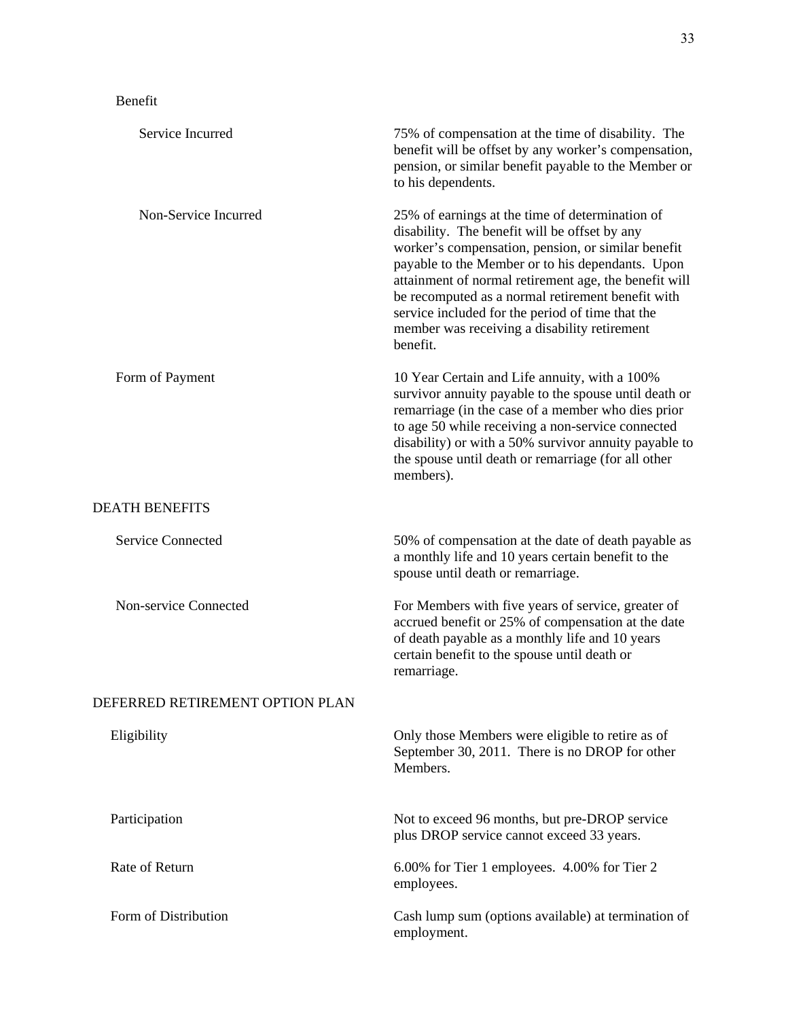# Benefit

| Service Incurred                | 75% of compensation at the time of disability. The<br>benefit will be offset by any worker's compensation,<br>pension, or similar benefit payable to the Member or<br>to his dependents.                                                                                                                                                                                                                                                 |
|---------------------------------|------------------------------------------------------------------------------------------------------------------------------------------------------------------------------------------------------------------------------------------------------------------------------------------------------------------------------------------------------------------------------------------------------------------------------------------|
| Non-Service Incurred            | 25% of earnings at the time of determination of<br>disability. The benefit will be offset by any<br>worker's compensation, pension, or similar benefit<br>payable to the Member or to his dependants. Upon<br>attainment of normal retirement age, the benefit will<br>be recomputed as a normal retirement benefit with<br>service included for the period of time that the<br>member was receiving a disability retirement<br>benefit. |
| Form of Payment                 | 10 Year Certain and Life annuity, with a 100%<br>survivor annuity payable to the spouse until death or<br>remarriage (in the case of a member who dies prior<br>to age 50 while receiving a non-service connected<br>disability) or with a 50% survivor annuity payable to<br>the spouse until death or remarriage (for all other<br>members).                                                                                           |
| <b>DEATH BENEFITS</b>           |                                                                                                                                                                                                                                                                                                                                                                                                                                          |
| <b>Service Connected</b>        | 50% of compensation at the date of death payable as<br>a monthly life and 10 years certain benefit to the<br>spouse until death or remarriage.                                                                                                                                                                                                                                                                                           |
| Non-service Connected           | For Members with five years of service, greater of<br>accrued benefit or 25% of compensation at the date<br>of death payable as a monthly life and 10 years<br>certain benefit to the spouse until death or<br>remarriage.                                                                                                                                                                                                               |
| DEFERRED RETIREMENT OPTION PLAN |                                                                                                                                                                                                                                                                                                                                                                                                                                          |
| Eligibility                     | Only those Members were eligible to retire as of<br>September 30, 2011. There is no DROP for other<br>Members.                                                                                                                                                                                                                                                                                                                           |
| Participation                   | Not to exceed 96 months, but pre-DROP service<br>plus DROP service cannot exceed 33 years.                                                                                                                                                                                                                                                                                                                                               |
| Rate of Return                  | 6.00% for Tier 1 employees. 4.00% for Tier 2<br>employees.                                                                                                                                                                                                                                                                                                                                                                               |
| Form of Distribution            | Cash lump sum (options available) at termination of<br>employment.                                                                                                                                                                                                                                                                                                                                                                       |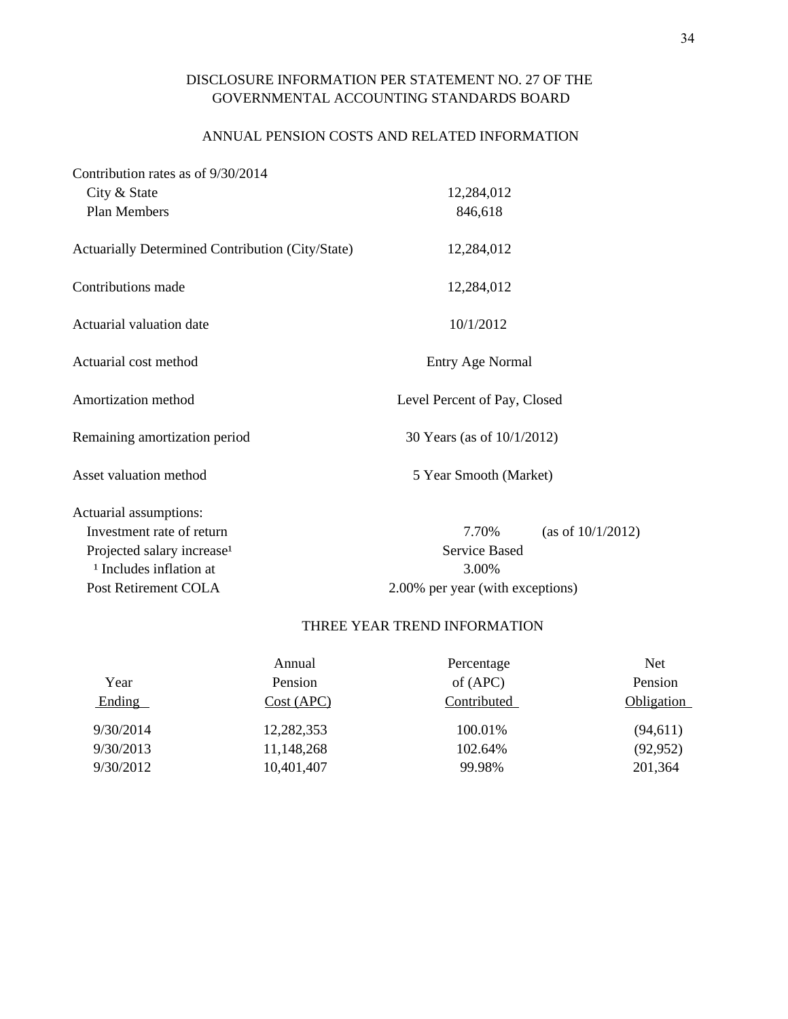## DISCLOSURE INFORMATION PER STATEMENT NO. 27 OF THE GOVERNMENTAL ACCOUNTING STANDARDS BOARD

## ANNUAL PENSION COSTS AND RELATED INFORMATION

| Contribution rates as of 9/30/2014               |                                  |                      |  |  |  |
|--------------------------------------------------|----------------------------------|----------------------|--|--|--|
| City & State                                     | 12,284,012                       |                      |  |  |  |
| Plan Members                                     | 846,618                          |                      |  |  |  |
| Actuarially Determined Contribution (City/State) | 12,284,012                       |                      |  |  |  |
| Contributions made                               | 12,284,012                       |                      |  |  |  |
| Actuarial valuation date                         | 10/1/2012                        |                      |  |  |  |
| Actuarial cost method                            | <b>Entry Age Normal</b>          |                      |  |  |  |
| Amortization method                              | Level Percent of Pay, Closed     |                      |  |  |  |
| Remaining amortization period                    | 30 Years (as of 10/1/2012)       |                      |  |  |  |
| Asset valuation method                           | 5 Year Smooth (Market)           |                      |  |  |  |
| Actuarial assumptions:                           |                                  |                      |  |  |  |
| Investment rate of return                        | 7.70%                            | (as of $10/1/2012$ ) |  |  |  |
| Projected salary increase <sup>1</sup>           | <b>Service Based</b>             |                      |  |  |  |
| <sup>1</sup> Includes inflation at               | 3.00%                            |                      |  |  |  |
| Post Retirement COLA                             | 2.00% per year (with exceptions) |                      |  |  |  |

## THREE YEAR TREND INFORMATION

|           | Annual     | Percentage  | <b>Net</b> |
|-----------|------------|-------------|------------|
| Year      | Pension    | of $(APC)$  | Pension    |
| Ending    | Cost (APC) | Contributed | Obligation |
| 9/30/2014 | 12,282,353 | 100.01%     | (94, 611)  |
| 9/30/2013 | 11,148,268 | 102.64%     | (92, 952)  |
| 9/30/2012 | 10,401,407 | 99.98%      | 201,364    |